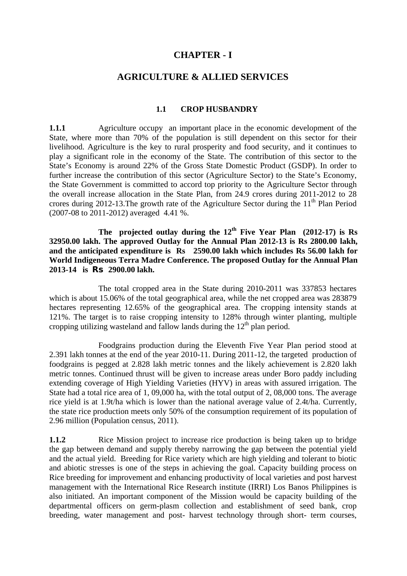# **CHAPTER - I**

# **AGRICULTURE & ALLIED SERVICES**

#### **1.1 CROP HUSBANDRY**

**1.1.1** Agriculture occupy an important place in the economic development of the State, where more than 70% of the population is still dependent on this sector for their livelihood. Agriculture is the key to rural prosperity and food security, and it continues to play a significant role in the economy of the State. The contribution of this sector to the State's Economy is around 22% of the Gross State Domestic Product (GSDP). In order to further increase the contribution of this sector (Agriculture Sector) to the State's Economy, the State Government is committed to accord top priority to the Agriculture Sector through the overall increase allocation in the State Plan, from 24.9 crores during 2011-2012 to 28 crores during 2012-13. The growth rate of the Agriculture Sector during the  $11<sup>th</sup>$  Plan Period (2007-08 to 2011-2012) averaged 4.41 %.

The projected outlay during the  $12<sup>th</sup>$  Five Year Plan  $(2012-17)$  is Rs **32950.00 lakh. The approved Outlay for the Annual Plan 2012-13 is Rs 2800.00 lakh, and the anticipated expenditure is Rs 2590.00 lakh which includes Rs 56.00 lakh for World Indigeneous Terra Madre Conference. The proposed Outlay for the Annual Plan 2013-14 is Rs 2900.00 lakh.** 

 The total cropped area in the State during 2010-2011 was 337853 hectares which is about 15.06% of the total geographical area, while the net cropped area was 283879 hectares representing 12.65% of the geographical area. The cropping intensity stands at 121%. The target is to raise cropping intensity to 128% through winter planting, multiple cropping utilizing wasteland and fallow lands during the  $12<sup>th</sup>$  plan period.

 Foodgrains production during the Eleventh Five Year Plan period stood at 2.391 lakh tonnes at the end of the year 2010-11. During 2011-12, the targeted production of foodgrains is pegged at 2.828 lakh metric tonnes and the likely achievement is 2.820 lakh metric tonnes. Continued thrust will be given to increase areas under Boro paddy including extending coverage of High Yielding Varieties (HYV) in areas with assured irrigation. The State had a total rice area of 1, 09,000 ha, with the total output of 2, 08,000 tons. The average rice yield is at 1.9t/ha which is lower than the national average value of 2.4t/ha. Currently, the state rice production meets only 50% of the consumption requirement of its population of 2.96 million (Population census, 2011).

**1.1.2** Rice Mission project to increase rice production is being taken up to bridge the gap between demand and supply thereby narrowing the gap between the potential yield and the actual yield. Breeding for Rice variety which are high yielding and tolerant to biotic and abiotic stresses is one of the steps in achieving the goal. Capacity building process on Rice breeding for improvement and enhancing productivity of local varieties and post harvest management with the International Rice Research institute (IRRI) Los Banos Philippines is also initiated. An important component of the Mission would be capacity building of the departmental officers on germ-plasm collection and establishment of seed bank, crop breeding, water management and post- harvest technology through short- term courses,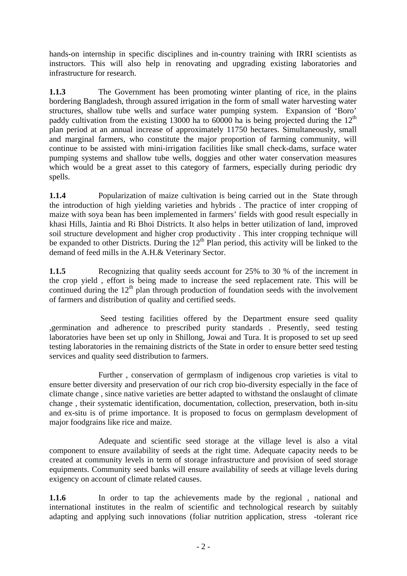hands-on internship in specific disciplines and in-country training with IRRI scientists as instructors. This will also help in renovating and upgrading existing laboratories and infrastructure for research.

**1.1.3** The Government has been promoting winter planting of rice, in the plains bordering Bangladesh, through assured irrigation in the form of small water harvesting water structures, shallow tube wells and surface water pumping system. Expansion of 'Boro' paddy cultivation from the existing 13000 ha to 60000 ha is being projected during the  $12<sup>th</sup>$ plan period at an annual increase of approximately 11750 hectares. Simultaneously, small and marginal farmers, who constitute the major proportion of farming community, will continue to be assisted with mini-irrigation facilities like small check-dams, surface water pumping systems and shallow tube wells, doggies and other water conservation measures which would be a great asset to this category of farmers, especially during periodic dry spells.

**1.1.4** Popularization of maize cultivation is being carried out in the State through the introduction of high yielding varieties and hybrids . The practice of inter cropping of maize with soya bean has been implemented in farmers' fields with good result especially in khasi Hills, Jaintia and Ri Bhoi Districts. It also helps in better utilization of land, improved soil structure development and higher crop productivity . This inter cropping technique will be expanded to other Districts. During the  $12^{th}$  Plan period, this activity will be linked to the demand of feed mills in the A.H.& Veterinary Sector.

**1.1.5** Recognizing that quality seeds account for 25% to 30 % of the increment in the crop yield , effort is being made to increase the seed replacement rate. This will be continued during the  $12<sup>th</sup>$  plan through production of foundation seeds with the involvement of farmers and distribution of quality and certified seeds.

Seed testing facilities offered by the Department ensure seed quality ,germination and adherence to prescribed purity standards . Presently, seed testing laboratories have been set up only in Shillong, Jowai and Tura. It is proposed to set up seed testing laboratories in the remaining districts of the State in order to ensure better seed testing services and quality seed distribution to farmers.

 Further , conservation of germplasm of indigenous crop varieties is vital to ensure better diversity and preservation of our rich crop bio-diversity especially in the face of climate change , since native varieties are better adapted to withstand the onslaught of climate change , their systematic identification, documentation, collection, preservation, both in-situ and ex-situ is of prime importance. It is proposed to focus on germplasm development of major foodgrains like rice and maize.

 Adequate and scientific seed storage at the village level is also a vital component to ensure availability of seeds at the right time. Adequate capacity needs to be created at community levels in term of storage infrastructure and provision of seed storage equipments. Community seed banks will ensure availability of seeds at village levels during exigency on account of climate related causes.

1.1.6 In order to tap the achievements made by the regional, national and international institutes in the realm of scientific and technological research by suitably adapting and applying such innovations (foliar nutrition application, stress -tolerant rice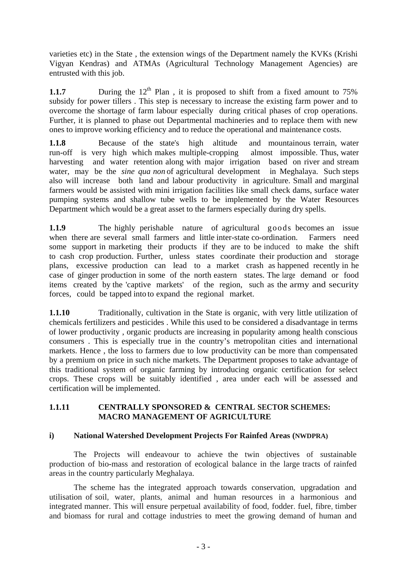varieties etc) in the State , the extension wings of the Department namely the KVKs (Krishi Vigyan Kendras) and ATMAs (Agricultural Technology Management Agencies) are entrusted with this job.

**1.1.7** During the 12<sup>th</sup> Plan, it is proposed to shift from a fixed amount to 75% subsidy for power tillers . This step is necessary to increase the existing farm power and to overcome the shortage of farm labour especially during critical phases of crop operations. Further, it is planned to phase out Departmental machineries and to replace them with new ones to improve working efficiency and to reduce the operational and maintenance costs.

**1.1.8** Because of the state's high altitude and mountainous terrain, water run-off is very high which makes multiple-cropping almost impossible. Thus, water harvesting and water retention along with major irrigation based on river and stream water, may be the *sine qua non* of agricultural development in Meghalaya. Such steps also will increase both land and labour productivity in agriculture. Small and marginal farmers would be assisted with mini irrigation facilities like small check dams, surface water pumping systems and shallow tube wells to be implemented by the Water Resources Department which would be a great asset to the farmers especially during dry spells.

**1.1.9** The highly perishable nature of agricultural goods becomes an issue when there are several small farmers and little inter-state co-ordination. Farmers need some support in marketing their products if they are to be induced to make the shift to cash crop production. Further, unless states coordinate their production and storage plans, excessive production can lead to a market crash as happened recently in he case of ginger production in some of the north eastern states. The large demand or food items created by the 'captive markets' of the region, such as the army and security forces, could be tapped into to expand the regional market.

**1.1.10** Traditionally, cultivation in the State is organic, with very little utilization of chemicals fertilizers and pesticides . While this used to be considered a disadvantage in terms of lower productivity , organic products are increasing in popularity among health conscious consumers . This is especially true in the country's metropolitan cities and international markets. Hence , the loss to farmers due to low productivity can be more than compensated by a premium on price in such niche markets. The Department proposes to take advantage of this traditional system of organic farming by introducing organic certification for select crops. These crops will be suitably identified , area under each will be assessed and certification will be implemented.

## **1.1.11 CENTRALLY SPONSORED & CENTRAL SECTOR SCHEMES: MACRO MANAGEMENT OF AGRICULTURE**

## **i) National Watershed Development Projects For Rainfed Areas (NWDPRA)**

The Projects will endeavour to achieve the twin objectives of sustainable production of bio-mass and restoration of ecological balance in the large tracts of rainfed areas in the country particularly Meghalaya.

The scheme has the integrated approach towards conservation, upgradation and utilisation of soil, water, plants, animal and human resources in a harmonious and integrated manner. This will ensure perpetual availability of food, fodder. fuel, fibre, timber and biomass for rural and cottage industries to meet the growing demand of human and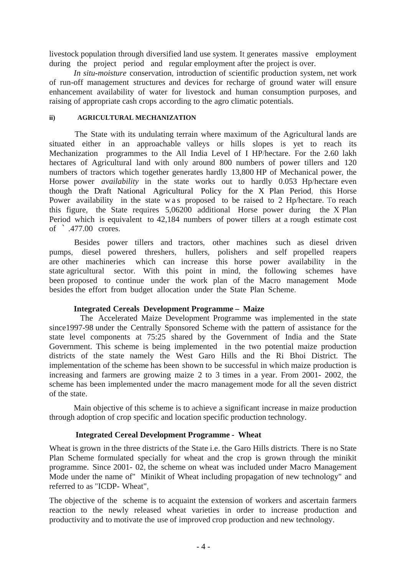livestock population through diversified land use system. It generates massive employment during the project period and regular employment after the project is over.

*In situ-moisture* conservation, introduction of scientific production system, net work of run-off management structures and devices for recharge of ground water will ensure enhancement availability of water for livestock and human consumption purposes, and raising of appropriate cash crops according to the agro climatic potentials.

### **ii) AGRICULTURAL MECHANIZATION**

The State with its undulating terrain where maximum of the Agricultural lands are situated either in an approachable valleys or hills slopes is yet to reach its Mechanization programmes to the All India Level of I HP/hectare. For the 2.60 lakh hectares of Agricultural land with only around 800 numbers of power tillers and 120 numbers of tractors which together generates hardly 13,800 HP of Mechanical power, the Horse power *availability* in the state works out to hardly 0.053 Hp/hectare even though the Draft National Agricultural Policy for the X Plan Period, this Horse Power availability in the state w as proposed to be raised to 2 Hp/hectare. To reach this figure, the State requires 5,06200 additional Horse power during the X Plan Period which is equivalent to 42,184 numbers of power tillers at a rough estimate cost of ` .477.00 crores.

Besides power tillers and tractors, other machines such as diesel driven pumps, diesel powered threshers, hullers, polishers and self propelled reapers are other machineries which can increase this horse power availability in the state agricultural sector. With this point in mind, the following schemes have been proposed to continue under the work plan of the Macro management Mode besides the effort from budget allocation under the State Plan Scheme.

## **Integrated Cereals Development Programme – Maize**

The Accelerated Maize Development Programme was implemented in the state since1997-98 under the Centrally Sponsored Scheme with the pattern of assistance for the state level components at 75:25 shared by the Government of India and the State Government. This scheme is being implemented in the two potential maize production districts of the state namely the West Garo Hills and the Ri Bhoi District. The implementation of the scheme has been shown to be successful in which maize production is increasing and farmers are growing maize 2 to 3 times in a year. From 2001- 2002, the scheme has been implemented under the macro management mode for all the seven district of the state.

Main objective of this scheme is to achieve a significant increase in maize production through adoption of crop specific and location specific production technology.

## **Integrated Cereal Development Programme - Wheat**

Wheat is grown in the three districts of the State i.e. the Garo Hills districts. There is no State Plan Scheme formulated specially for wheat and the crop is grown through the minikit programme. Since 2001- 02, the scheme on wheat was included under Macro Management Mode under the name of" Minikit of Wheat including propagation of new technology" and referred to as "ICDP- Wheat",

The objective of the scheme is to acquaint the extension of workers and ascertain farmers reaction to the newly released wheat varieties in order to increase production and productivity and to motivate the use of improved crop production and new technology.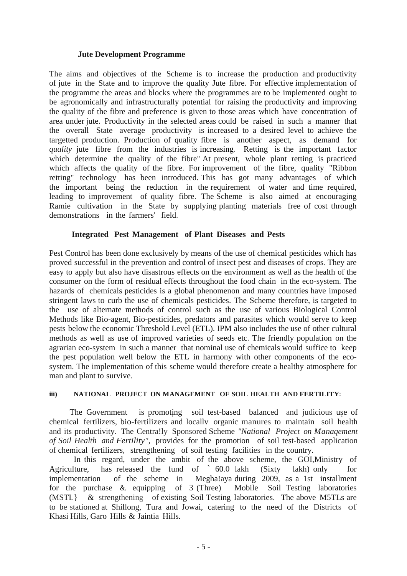#### **Jute Development Programme**

The aims and objectives of the Scheme is to increase the production and productivity of jute in the State and to improve the quality Jute fibre. For effective implementation of the programme the areas and blocks where the programmes are to be implemented ought to be agronomically and infrastructurally potential for raising the productivity and improving the quality of the fibre and preference is given to those areas which have concentration of area under jute. Productivity in the selected areas could be raised in such a manner that the overall State average productivity is increased to a desired level to achieve the targetted production. Production of quality fibre is another aspect, as demand for *quality* jute fibre from the industries is increasing. Retting is the important factor which determine the quality of the fibre" At present, whole plant retting is practiced which affects the quality of the fibre. For improvement of the fibre, quality "Ribbon retting" technology has been introduced. This has got many advantages of which the important being the reduction in the requirement of water and time required, leading to improvement of quality fibre. The Scheme is also aimed at encouraging Ramie cultivation in the State by supplying planting materials free of cost through demonstrations in the farmers' field.

#### **Integrated Pest Management of Plant Diseases and Pests**

Pest Control has been done exclusively by means of the use of chemical pesticides which has proved successful in the prevention and control of insect pest and diseases of crops. They are easy to apply but also have disastrous effects on the environment as well as the health of the consumer on the form of residual effects throughout the food chain in the eco-system. The hazards of chemicals pesticides is a global phenomenon and many countries have imposed stringent laws to curb the use of chemicals pesticides. The Scheme therefore, is targeted to the use of alternate methods of control such as the use of various Biological Control Methods like Bio-agent, Bio-pesticides, predators and parasites which would serve to keep pests below the economic Threshold Level (ETL). IPM also includes the use of other cultural methods as well as use of improved varieties of seeds etc. The friendly population on the agrarian eco-system in such a manner that nominal use of chemicals would suffice to keep the pest population well below the ETL in harmony with other components of the ecosystem. The implementation of this scheme would therefore create a healthy atmosphere for man and plant to survive.

#### **iii)** NATIONAL PROJECT ON MANAGEMENT OF SOIL HEALTH AND FERTILITY:

The Government is promoting soil test-based balanced and judicious use of chemical fertilizers, bio-fertilizers and locallv organic manures to maintain soil health and its productivity. The Centra!ly Sponsored Scheme *"National Project on Manaqement of Soil Health and Fertility",* provides for the promotion of soil test-based application of chemical fertilizers, strengthening of soil testing facilities in the country.

 In this regard, under the ambit of the above scheme, the GOI,Ministry of Agriculture, has released the fund of ` 60.0 lakh (Sixty lakh) onlyfor implementation of the scheme in Megha!aya during 2009, as a 1st installment for the purchase &. equipping of 3 (Three) Mobile Soil Testing laboratories (MSTL} & strengthening of existing Soil Testing laboratories. The above M5TLs are to be stationed at Shillong, Tura and Jowai, catering to the need of the Districts of Khasi Hills, Garo Hills & Jaintia Hills.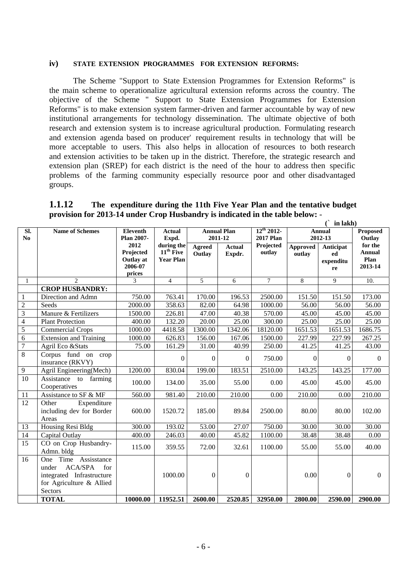#### **iv) STATE EXTENSION PROGRAMMES FOR EXTENSION REFORMS:**

The Scheme "Support to State Extension Programmes for Extension Reforms" is the main scheme to operationalize agricultural extension reforms across the country. The objective of the Scheme " Support to State Extension Programmes for Extension Reforms" is to make extension system farmer-driven and farmer accountable by way of new institutional arrangements for technology dissemination. The ultimate objective of both research and extension system is to increase agricultural production. Formulating research and extension agenda based on producer' requirement results in technology that will be more acceptable to users. This also helps in allocation of resources to both research and extension activities to be taken up in the district. Therefore, the strategic research and extension plan (SREP) for each district is the need of the hour to address then specific problems of the farming community especially resource poor and other disadvantaged groups.

| 1.1.12 | The expenditure during the 11th Five Year Plan and the tentative budget       |  |
|--------|-------------------------------------------------------------------------------|--|
|        | provision for 2013-14 under Crop Husbandry is indicated in the table below: - |  |
|        | $\triangle$ in Lebs                                                           |  |

| $\overline{\text{SL}}$ | <b>Name of Schemes</b>         | Eleventh                    | <b>Actual</b>    |                | <b>Annual Plan</b> | $12^{th}$ 2012-  |                 | III IANII)<br><b>Annual</b> | <b>Proposed</b> |
|------------------------|--------------------------------|-----------------------------|------------------|----------------|--------------------|------------------|-----------------|-----------------------------|-----------------|
| N <sub>0</sub>         |                                | <b>Plan 2007-</b>           | Expd.            |                | 2011-12            | <b>2017 Plan</b> |                 | 2012-13                     |                 |
|                        |                                | 2012                        | during the       | Agreed         | <b>Actual</b>      | Projected        | <b>Approved</b> | Anticipat                   | for the         |
|                        |                                | Projected                   | $11^{th}$ Five   | Outlay         | Expdr.             | outlay           | outlay          | ed                          | <b>Annual</b>   |
|                        |                                | <b>Outlay at</b><br>2006-07 | <b>Year Plan</b> |                |                    |                  |                 | expenditu                   | Plan            |
|                        |                                | prices                      |                  |                |                    |                  |                 | re                          | 2013-14         |
| 1                      | $\mathcal{L}$                  | 3                           | $\overline{4}$   | $\overline{5}$ | 6                  | $\tau$           | 8               | 9                           | 10.             |
|                        | <b>CROP HUSBANDRY:</b>         |                             |                  |                |                    |                  |                 |                             |                 |
| 1                      | Direction and Admn             | 750.00                      | 763.41           | 170.00         | 196.53             | 2500.00          | 151.50          | 151.50                      | 173.00          |
| $\overline{2}$         | Seeds                          | 2000.00                     | 358.63           | 82.00          | 64.98              | 1000.00          | 56.00           | 56.00                       | 56.00           |
| $\mathfrak{Z}$         | Manure & Fertilizers           | 1500.00                     | 226.81           | 47.00          | 40.38              | 570.00           | 45.00           | 45.00                       | 45.00           |
| $\overline{4}$         | <b>Plant Protection</b>        | 400.00                      | 132.20           | 20.00          | 25.00              | 300.00           | 25.00           | 25.00                       | 25.00           |
| 5                      | <b>Commercial Crops</b>        | 1000.00                     | 4418.58          | 1300.00        | 1342.06            | 18120.00         | 1651.53         | 1651.53                     | 1686.75         |
| 6                      | <b>Extension and Training</b>  | 1000.00                     | 626.83           | 156.00         | 167.06             | 1500.00          | 227.99          | 227.99                      | 267.25          |
| $\overline{7}$         | Agril Eco &Stats               | 75.00                       | 161.29           | 31.00          | 40.99              | 250.00           | 41.25           | 41.25                       | 43.00           |
| $\,8\,$                | Corpus fund on crop            |                             | $\overline{0}$   | $\mathbf{0}$   | $\overline{0}$     | 750.00           | $\Omega$        | $\Omega$                    | $\mathbf{0}$    |
|                        | insurance (RKVY)               |                             |                  |                |                    |                  |                 |                             |                 |
| 9                      | Agril Engineering(Mech)        | 1200.00                     | 830.04           | 199.00         | 183.51             | 2510.00          | 143.25          | 143.25                      | 177.00          |
| 10                     | Assistance to farming          | 100.00                      | 134.00           | 35.00          | 55.00              | 0.00             | 45.00           | 45.00                       | 45.00           |
|                        | Cooperatives                   |                             |                  |                |                    |                  |                 |                             |                 |
| 11                     | Assistance to SF & MF          | 560.00                      | 981.40           | 210.00         | 210.00             | 0.00             | 210.00          | 0.00                        | 210.00          |
| 12                     | Other<br>Expenditure           |                             |                  |                |                    |                  |                 |                             |                 |
|                        | including dev for Border       | 600.00                      | 1520.72          | 185.00         | 89.84              | 2500.00          | 80.00           | 80.00                       | 102.00          |
|                        | Areas                          |                             |                  |                |                    |                  |                 |                             |                 |
| 13                     | Housing Resi Bldg              | 300.00                      | 193.02           | 53.00          | 27.07              | 750.00           | 30.00           | 30.00                       | 30.00           |
| 14                     | Capital Outlay                 | 400.00                      | 246.03           | 40.00          | 45.82              | 1100.00          | 38.48           | 38.48                       | 0.00            |
| 15                     | CO on Crop Husbandry-          | 115.00                      | 359.55           | 72.00          | 32.61              | 1100.00          | 55.00           | 55.00                       | 40.00           |
|                        | Admn. bldg                     |                             |                  |                |                    |                  |                 |                             |                 |
| 16                     | One Time Assisstance           |                             |                  |                |                    |                  |                 |                             |                 |
|                        | <b>ACA/SPA</b><br>for<br>under |                             |                  |                |                    |                  |                 |                             |                 |
|                        | integrated Infrastructure      |                             | 1000.00          | $\theta$       | $\boldsymbol{0}$   |                  | 0.00            | $\theta$                    | $\theta$        |
|                        | for Agriculture & Allied       |                             |                  |                |                    |                  |                 |                             |                 |
|                        | Sectors                        |                             |                  |                |                    |                  |                 |                             |                 |
|                        | <b>TOTAL</b>                   | 10000.00                    | 11952.51         | 2600.00        | 2520.85            | 32950.00         | 2800.00         | 2590.00                     | 2900.00         |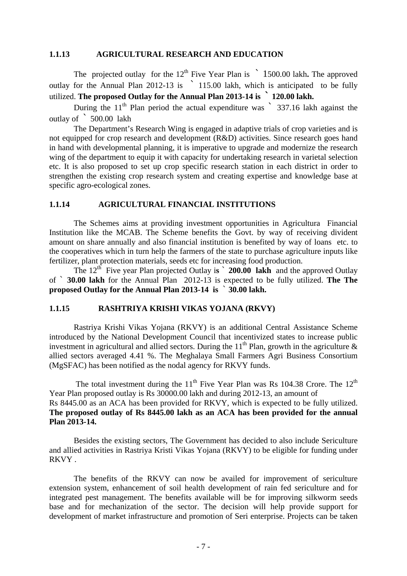#### **1.1.13 AGRICULTURAL RESEARCH AND EDUCATION**

The projected outlay for the 12<sup>th</sup> Five Year Plan is <sup>1</sup> 1500.00 lakh. The approved outlay for the Annual Plan 2012-13 is ` 115.00 lakh, which is anticipated to be fully utilized. **The proposed Outlay for the Annual Plan 2013-14 is ` 120.00 lakh.** 

During the  $11<sup>th</sup>$  Plan period the actual expenditure was  $\frac{337.16}{ }$  lakh against the outlay of` 500.00 lakh

The Department's Research Wing is engaged in adaptive trials of crop varieties and is not equipped for crop research and development (R&D) activities. Since research goes hand in hand with developmental planning, it is imperative to upgrade and modernize the research wing of the department to equip it with capacity for undertaking research in varietal selection etc. It is also proposed to set up crop specific research station in each district in order to strengthen the existing crop research system and creating expertise and knowledge base at specific agro-ecological zones.

#### **1.1.14 AGRICULTURAL FINANCIAL INSTITUTIONS**

 The Schemes aims at providing investment opportunities in Agricultura Financial Institution like the MCAB. The Scheme benefits the Govt. by way of receiving divident amount on share annually and also financial institution is benefited by way of loans etc. to the cooperatives which in turn help the farmers of the state to purchase agriculture inputs like fertilizer, plant protection materials, seeds etc for increasing food production.

The 12th Five year Plan projected Outlay i**s** ` **200.00 lakh** and the approved Outlay of ` **30.00 lakh** for the Annual Plan 2012-13 is expected to be fully utilized. **The The proposed Outlay for the Annual Plan 2013-14 is** ` **30.00 lakh.** 

### **1.1.15 RASHTRIYA KRISHI VIKAS YOJANA (RKVY)**

Rastriya Krishi Vikas Yojana (RKVY) is an additional Central Assistance Scheme introduced by the National Development Council that incentivized states to increase public investment in agricultural and allied sectors. During the  $11<sup>th</sup>$  Plan, growth in the agriculture  $\&$ allied sectors averaged 4.41 %. The Meghalaya Small Farmers Agri Business Consortium (MgSFAC) has been notified as the nodal agency for RKVY funds.

The total investment during the  $11<sup>th</sup>$  Five Year Plan was Rs 104.38 Crore. The  $12<sup>th</sup>$ Year Plan proposed outlay is Rs 30000.00 lakh and during 2012-13, an amount of Rs 8445.00 as an ACA has been provided for RKVY, which is expected to be fully utilized. **The proposed outlay of Rs 8445.00 lakh as an ACA has been provided for the annual Plan 2013-14.** 

Besides the existing sectors, The Government has decided to also include Sericulture and allied activities in Rastriya Kristi Vikas Yojana (RKVY) to be eligible for funding under RKVY .

The benefits of the RKVY can now be availed for improvement of sericulture extension system, enhancement of soil health development of rain fed sericulture and for integrated pest management. The benefits available will be for improving silkworm seeds base and for mechanization of the sector. The decision will help provide support for development of market infrastructure and promotion of Seri enterprise. Projects can be taken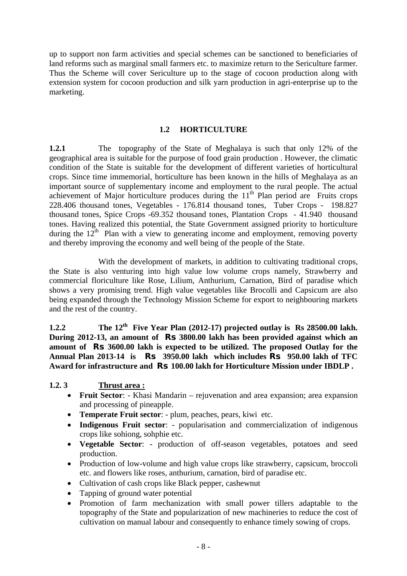up to support non farm activities and special schemes can be sanctioned to beneficiaries of land reforms such as marginal small farmers etc. to maximize return to the Sericulture farmer. Thus the Scheme will cover Sericulture up to the stage of cocoon production along with extension system for cocoon production and silk yarn production in agri-enterprise up to the marketing.

## **1.2 HORTICULTURE**

**1.2.1** The topography of the State of Meghalaya is such that only 12% of the geographical area is suitable for the purpose of food grain production . However, the climatic condition of the State is suitable for the development of different varieties of horticultural crops. Since time immemorial, horticulture has been known in the hills of Meghalaya as an important source of supplementary income and employment to the rural people. The actual achievement of Major horticulture produces during the  $11<sup>th</sup>$  Plan period are Fruits crops 228.406 thousand tones, Vegetables - 176.814 thousand tones, Tuber Crops - 198.827 thousand tones, Spice Crops -69.352 thousand tones, Plantation Crops - 41.940 thousand tones. Having realized this potential, the State Government assigned priority to horticulture during the  $12<sup>th</sup>$  Plan with a view to generating income and employment, removing poverty and thereby improving the economy and well being of the people of the State.

With the development of markets, in addition to cultivating traditional crops, the State is also venturing into high value low volume crops namely, Strawberry and commercial floriculture like Rose, Lilium, Anthurium, Carnation, Bird of paradise which shows a very promising trend. High value vegetables like Brocolli and Capsicum are also being expanded through the Technology Mission Scheme for export to neighbouring markets and the rest of the country.

**1.2.2 The 12th Five Year Plan (2012-17) projected outlay is Rs 28500.00 lakh. During 2012-13, an amount of Rs 3800.00 lakh has been provided against which an amount of Rs 3600.00 lakh is expected to be utilized. The proposed Outlay for the Annual Plan 2013-14 is Rs 3950.00 lakh which includes Rs 950.00 lakh of TFC Award for infrastructure and Rs 100.00 lakh for Horticulture Mission under IBDLP .** 

# **1.2. 3 Thrust area :**

- **Fruit Sector**: Khasi Mandarin rejuvenation and area expansion; area expansion and processing of pineapple.
- **Temperate Fruit sector**: plum, peaches, pears, kiwi etc.
- **Indigenous Fruit sector**: popularisation and commercialization of indigenous crops like sohiong, sohphie etc.
- **Vegetable Sector**: production of off-season vegetables, potatoes and seed production.
- Production of low-volume and high value crops like strawberry, capsicum, broccoli etc. and flowers like roses, anthurium, carnation, bird of paradise etc.
- Cultivation of cash crops like Black pepper, cashewnut
- Tapping of ground water potential
- Promotion of farm mechanization with small power tillers adaptable to the topography of the State and popularization of new machineries to reduce the cost of cultivation on manual labour and consequently to enhance timely sowing of crops.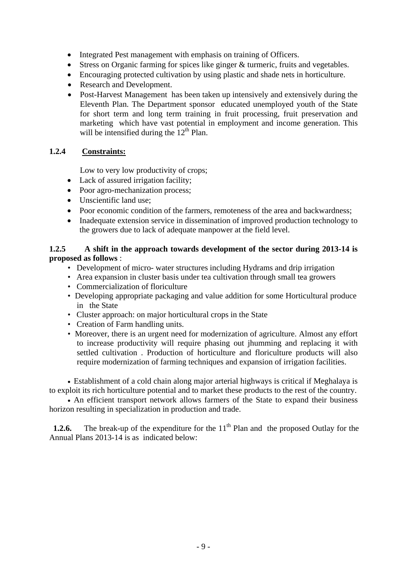- Integrated Pest management with emphasis on training of Officers.
- Stress on Organic farming for spices like ginger & turmeric, fruits and vegetables.
- Encouraging protected cultivation by using plastic and shade nets in horticulture.
- Research and Development.
- Post-Harvest Management has been taken up intensively and extensively during the Eleventh Plan. The Department sponsor educated unemployed youth of the State for short term and long term training in fruit processing, fruit preservation and marketing which have vast potential in employment and income generation. This will be intensified during the  $12<sup>th</sup>$  Plan.

## **1.2.4 Constraints:**

Low to very low productivity of crops;

- Lack of assured irrigation facility;
- Poor agro-mechanization process;
- Unscientific land use:
- Poor economic condition of the farmers, remoteness of the area and backwardness;
- Inadequate extension service in dissemination of improved production technology to the growers due to lack of adequate manpower at the field level.

## **1.2.5 A shift in the approach towards development of the sector during 2013-14 is proposed as follows** :

- Development of micro- water structures including Hydrams and drip irrigation
- Area expansion in cluster basis under tea cultivation through small tea growers
- Commercialization of floriculture
- Developing appropriate packaging and value addition for some Horticultural produce in the State
- Cluster approach: on major horticultural crops in the State
- Creation of Farm handling units.
- Moreover, there is an urgent need for modernization of agriculture. Almost any effort to increase productivity will require phasing out jhumming and replacing it with settled cultivation . Production of horticulture and floriculture products will also require modernization of farming techniques and expansion of irrigation facilities.

 Establishment of a cold chain along major arterial highways is critical if Meghalaya is to exploit its rich horticulture potential and to market these products to the rest of the country.

 An efficient transport network allows farmers of the State to expand their business horizon resulting in specialization in production and trade.

**1.2.6.** The break-up of the expenditure for the 11<sup>th</sup> Plan and the proposed Outlay for the Annual Plans 2013-14 is as indicated below: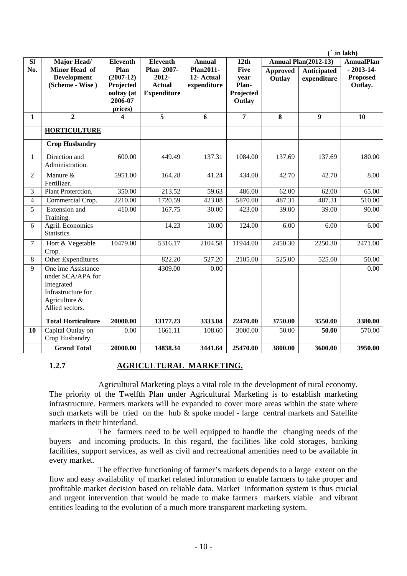|                | $\hat{C}$ . in lakh)                                                                                            |                 |                    |                  |                |                                                  |                    |                 |
|----------------|-----------------------------------------------------------------------------------------------------------------|-----------------|--------------------|------------------|----------------|--------------------------------------------------|--------------------|-----------------|
| <b>SI</b>      | Major Head/                                                                                                     | <b>Eleventh</b> | <b>Eleventh</b>    | <b>Annual</b>    | 12th           | <b>Annual Plan(2012-13)</b><br><b>AnnualPlan</b> |                    |                 |
| No.            | Minor Head of                                                                                                   | Plan            | Plan 2007-         | <b>Plan2011-</b> | <b>Five</b>    | <b>Approved</b>                                  | <b>Anticipated</b> | $-2013-14-$     |
|                | <b>Development</b>                                                                                              | $(2007-12)$     | 2012-              | 12- Actual       | year           | Outlay                                           | expenditure        | <b>Proposed</b> |
|                | (Scheme - Wise)                                                                                                 | Projected       | <b>Actual</b>      | expenditure      | Plan-          |                                                  |                    | Outlay.         |
|                |                                                                                                                 | oultay (at      | <b>Expenditure</b> |                  | Projected      |                                                  |                    |                 |
|                |                                                                                                                 | 2006-07         |                    |                  | Outlay         |                                                  |                    |                 |
|                |                                                                                                                 | prices)         |                    |                  |                |                                                  |                    |                 |
| $\mathbf{1}$   | $\overline{2}$                                                                                                  | 4               | $\overline{5}$     | 6                | $\overline{7}$ | 8                                                | $\boldsymbol{9}$   | 10              |
|                | <b>HORTICULTURE</b>                                                                                             |                 |                    |                  |                |                                                  |                    |                 |
|                | <b>Crop Husbandry</b>                                                                                           |                 |                    |                  |                |                                                  |                    |                 |
| 1              | Direction and<br>Administration.                                                                                | 600.00          | 449.49             | 137.31           | 1084.00        | 137.69                                           | 137.69             | 180.00          |
| 2              | Manure &<br>Fertilizer.                                                                                         | 5951.00         | 164.28             | 41.24            | 434.00         | 42.70                                            | 42.70              | 8.00            |
| 3              | Plant Proterction.                                                                                              | 350.00          | 213.52             | 59.63            | 486.00         | 62.00                                            | 62.00              | 65.00           |
| $\overline{4}$ | Commercial Crop.                                                                                                | 2210.00         | 1720.59            | 423.08           | 5870.00        | 487.31                                           | 487.31             | 510.00          |
| 5              | Extension and                                                                                                   | 410.00          | 167.75             | 30.00            | 423.00         | 39.00                                            | 39.00              | 90.00           |
|                | Training.                                                                                                       |                 |                    |                  |                |                                                  |                    |                 |
| 6              | Agril. Economics<br><b>Statistics</b>                                                                           |                 | 14.23              | 10.00            | 124.00         | 6.00                                             | 6.00               | 6.00            |
| $\tau$         | Hort & Vegetable                                                                                                | 10479.00        | 5316.17            | 2104.58          | 11944.00       | 2450.30                                          | 2250.30            | 2471.00         |
|                | Crop.                                                                                                           |                 |                    |                  |                |                                                  |                    |                 |
| 8              | Other Expenditures                                                                                              |                 | 822.20             | 527.20           | 2105.00        | 525.00                                           | 525.00             | 50.00           |
| 9              | One ime Assistance<br>under SCA/APA for<br>Integrated<br>Infrastructure for<br>Agriculture &<br>Allied sectors. |                 | 4309.00            | 0.00             |                |                                                  |                    | 0.00            |
|                | <b>Total Horticulture</b>                                                                                       | 20000.00        | 13177.23           | 3333.04          | 22470.00       | 3750.00                                          | 3550.00            | 3380.00         |
| 10             | Capital Outlay on<br>Crop Husbandry                                                                             | 0.00            | 1661.11            | 108.60           | 3000.00        | 50.00                                            | 50.00              | 570.00          |
|                | <b>Grand Total</b>                                                                                              | 20000.00        | 14838.34           | 3441.64          | 25470.00       | 3800.00                                          | 3600.00            | 3950.00         |

# **1.2.7 AGRICULTURAL MARKETING.**

 Agricultural Marketing plays a vital role in the development of rural economy. The priority of the Twelfth Plan under Agricultural Marketing is to establish marketing infrastructure. Farmers markets will be expanded to cover more areas within the state where such markets will be tried on the hub & spoke model - large central markets and Satellite markets in their hinterland.

 The farmers need to be well equipped to handle the changing needs of the buyers and incoming products. In this regard, the facilities like cold storages, banking facilities, support services, as well as civil and recreational amenities need to be available in every market.

 The effective functioning of farmer's markets depends to a large extent on the flow and easy availability of market related information to enable farmers to take proper and profitable market decision based on reliable data. Market information system is thus crucial and urgent intervention that would be made to make farmers markets viable and vibrant entities leading to the evolution of a much more transparent marketing system.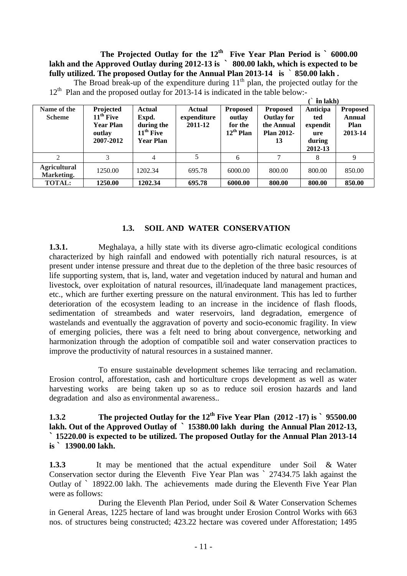# **The Projected Outlay for the 12th Five Year Plan Period is ` 6000.00 lakh and the Approved Outlay during 2012-13 is ` 800.00 lakh, which is expected to be fully utilized. The proposed Outlay for the Annual Plan 2013-14 is** ` **850.00 lakh .**

|                                   | 12 <sup>th</sup> Plan and the proposed outlay for 2013-14 is indicated in the table below:- |                                                                  |                                         |                                                        |                                                                               |                                                         |                                              |  |  |  |
|-----------------------------------|---------------------------------------------------------------------------------------------|------------------------------------------------------------------|-----------------------------------------|--------------------------------------------------------|-------------------------------------------------------------------------------|---------------------------------------------------------|----------------------------------------------|--|--|--|
|                                   | in lakh)                                                                                    |                                                                  |                                         |                                                        |                                                                               |                                                         |                                              |  |  |  |
| Name of the<br><b>Scheme</b>      | Projected<br>$11th$ Five<br>Year Plan<br>outlay<br>2007-2012                                | Actual<br>Expd.<br>during the<br>$11th$ Five<br><b>Year Plan</b> | <b>Actual</b><br>expenditure<br>2011-12 | <b>Proposed</b><br>outlay<br>for the<br>$12^{th}$ Plan | <b>Proposed</b><br><b>Outlay for</b><br>the Annual<br><b>Plan 2012-</b><br>13 | Anticipa<br>ted<br>expendit<br>ure<br>during<br>2012-13 | <b>Proposed</b><br>Annual<br>Plan<br>2013-14 |  |  |  |
| 2                                 |                                                                                             | 4                                                                |                                         | 6                                                      | 7                                                                             | 8                                                       | 9                                            |  |  |  |
| <b>Agricultural</b><br>Marketing. | 1250.00                                                                                     | 1202.34                                                          | 695.78                                  | 6000.00                                                | 800.00                                                                        | 800.00                                                  | 850.00                                       |  |  |  |

The Broad break-up of the expenditure during  $11<sup>th</sup>$  plan, the projected outlay for the 12<sup>th</sup> Plan and the proposed outlay for 2013-14 is indicated in the table below:-

### **1.3. SOIL AND WATER CONSERVATION**

**TOTAL: 1250.00 1202.34 695.78 6000.00 800.00 800.00 850.00** 

**1.3.1. Meghalaya, a hilly state with its diverse agro-climatic ecological conditions** characterized by high rainfall and endowed with potentially rich natural resources, is at present under intense pressure and threat due to the depletion of the three basic resources of life supporting system, that is, land, water and vegetation induced by natural and human and livestock, over exploitation of natural resources, ill/inadequate land management practices, etc., which are further exerting pressure on the natural environment. This has led to further deterioration of the ecosystem leading to an increase in the incidence of flash floods, sedimentation of streambeds and water reservoirs, land degradation, emergence of wastelands and eventually the aggravation of poverty and socio-economic fragility. In view of emerging policies, there was a felt need to bring about convergence, networking and harmonization through the adoption of compatible soil and water conservation practices to improve the productivity of natural resources in a sustained manner.

 To ensure sustainable development schemes like terracing and reclamation. Erosion control, afforestation, cash and horticulture crops development as well as water harvesting works are being taken up so as to reduce soil erosion hazards and land degradation and also as environmental awareness..

**1.3.2 The projected Outlay for the 12<sup>th</sup> Five Year Plan (2012 -17) is ` 95500.00 lakh. Out of the Approved Outlay of ` 15380.00 lakh during the Annual Plan 2012-13, ` 15220.00 is expected to be utilized. The proposed Outlay for the Annual Plan 2013-14 is ` 13900.00 lakh.** 

**1.3.3** It may be mentioned that the actual expenditure under Soil & Water Conservation sector during the Eleventh Five Year Plan was ` 27434.75 lakh against the Outlay of ` 18922.00 lakh. The achievements made during the Eleventh Five Year Plan were as follows:

 During the Eleventh Plan Period, under Soil & Water Conservation Schemes in General Areas, 1225 hectare of land was brought under Erosion Control Works with 663 nos. of structures being constructed; 423.22 hectare was covered under Afforestation; 1495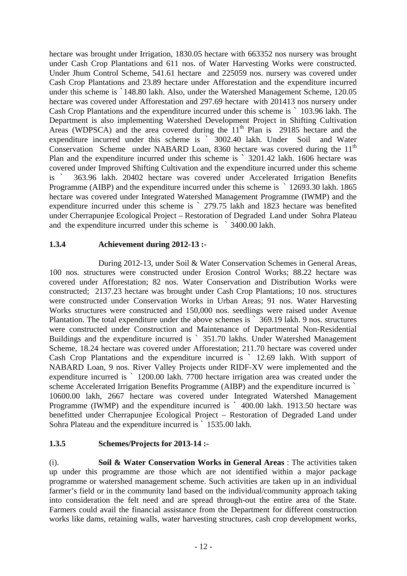hectare was brought under Irrigation, 1830.05 hectare with 663352 nos nursery was brought under Cash Crop Plantations and 611 nos. of Water Harvesting Works were constructed. Under Jhum Control Scheme, 541.61 hectare and 225059 nos. nursery was covered under Cash Crop Plantations and 23.89 hectare under Afforestation and the expenditure incurred under this scheme is `148.80 lakh. Also, under the Watershed Management Scheme, 120.05 hectare was covered under Afforestation and 297.69 hectare with 201413 nos nursery under Cash Crop Plantations and the expenditure incurred under this scheme is ` 103.96 lakh. The Department is also implementing Watershed Development Project in Shifting Cultivation Areas (WDPSCA) and the area covered during the  $11<sup>th</sup>$  Plan is 29185 hectare and the expenditure incurred under this scheme is ` 3002.40 lakh. Under Soil and Water Conservation Scheme under NABARD Loan, 8360 hectare was covered during the  $11<sup>th</sup>$ Plan and the expenditure incurred under this scheme is ` 3201.42 lakh. 1606 hectare was covered under Improved Shifting Cultivation and the expenditure incurred under this scheme is `363.96 lakh. 20402 hectare was covered under Accelerated Irrigation Benefits Programme (AIBP) and the expenditure incurred under this scheme is ` 12693.30 lakh. 1865 hectare was covered under Integrated Watershed Management Programme (IWMP) and the expenditure incurred under this scheme is ` 279.75 lakh and 1823 hectare was benefited under Cherrapunjee Ecological Project – Restoration of Degraded Land under Sohra Plateau and the expenditure incurred under this scheme is ` 3400.00 lakh.

# **1.3.4 Achievement during 2012-13 :-**

During 2012-13, under Soil & Water Conservation Schemes in General Areas, 100 nos. structures were constructed under Erosion Control Works; 88.22 hectare was covered under Afforestation; 82 nos. Water Conservation and Distribution Works were constructed; 2137.23 hectare was brought under Cash Crop Plantations; 10 nos. structures were constructed under Conservation Works in Urban Areas; 91 nos. Water Harvesting Works structures were constructed and 150,000 nos. seedlings were raised under Avenue Plantation. The total expenditure under the above schemes is ` 369.19 lakh. 9 nos. structures were constructed under Construction and Maintenance of Departmental Non-Residential Buildings and the expenditure incurred is ` 351.70 lakhs. Under Watershed Management Scheme, 18.24 hectare was covered under Afforestation; 211.70 hectare was covered under Cash Crop Plantations and the expenditure incurred is ` 12.69 lakh. With support of NABARD Loan, 9 nos. River Valley Projects under RIDF-XV were implemented and the expenditure incurred is ` 1200.00 lakh. 7700 hectare irrigation area was created under the scheme Accelerated Irrigation Benefits Programme (AIBP) and the expenditure incurred is  $\dot{\ }$ 10600.00 lakh, 2667 hectare was covered under Integrated Watershed Management Programme (IWMP) and the expenditure incurred is ` 400.00 lakh. 1913.50 hectare was benefitted under Cherrapunjee Ecological Project – Restoration of Degraded Land under Sohra Plateau and the expenditure incurred is ` 1535.00 lakh.

## **1.3.5 Schemes/Projects for 2013-14 :-**

(i). **Soil & Water Conservation Works in General Areas** : The activities taken up under this programme are those which are not identified within a major package programme or watershed management scheme. Such activities are taken up in an individual farmer's field or in the community land based on the individual/community approach taking into consideration the felt need and are spread through-out the entire area of the State. Farmers could avail the financial assistance from the Department for different construction works like dams, retaining walls, water harvesting structures, cash crop development works,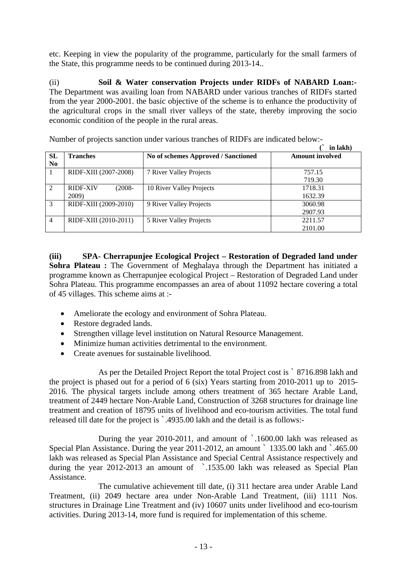etc. Keeping in view the popularity of the programme, particularly for the small farmers of the State, this programme needs to be continued during 2013-14..

(ii) **Soil & Water conservation Projects under RIDFs of NABARD Loan:-** The Department was availing loan from NABARD under various tranches of RIDFs started from the year 2000-2001. the basic objective of the scheme is to enhance the productivity of the agricultural crops in the small river valleys of the state, thereby improving the socio economic condition of the people in the rural areas.

|                |                                       |                                     | in lakh)               |
|----------------|---------------------------------------|-------------------------------------|------------------------|
| SL<br>No       | <b>Tranches</b>                       | No of schemes Approved / Sanctioned | <b>Amount involved</b> |
|                | RIDF-XIII (2007-2008)                 | 7 River Valley Projects             | 757.15<br>719.30       |
| 2              | <b>RIDF-XIV</b><br>$(2008 -$<br>2009) | 10 River Valley Projects            | 1718.31<br>1632.39     |
| 3              | RIDF-XIII (2009-2010)                 | 9 River Valley Projects             | 3060.98<br>2907.93     |
| $\overline{4}$ | RIDF-XIII (2010-2011)                 | 5 River Valley Projects             | 2211.57<br>2101.00     |

Number of projects sanction under various tranches of RIDFs are indicated below:-

**(iii) SPA- Cherrapunjee Ecological Project – Restoration of Degraded land under Sohra Plateau :** The Government of Meghalaya through the Department has initiated a programme known as Cherrapunjee ecological Project – Restoration of Degraded Land under Sohra Plateau. This programme encompasses an area of about 11092 hectare covering a total of 45 villages. This scheme aims at :-

- Ameliorate the ecology and environment of Sohra Plateau.
- Restore degraded lands.
- Strengthen village level institution on Natural Resource Management.
- Minimize human activities detrimental to the environment.
- **Create avenues for sustainable livelihood**

 As per the Detailed Project Report the total Project cost is ` 8716.898 lakh and the project is phased out for a period of 6 (six) Years starting from 2010-2011 up to 2015- 2016. The physical targets include among others treatment of 365 hectare Arable Land, treatment of 2449 hectare Non-Arable Land, Construction of 3268 structures for drainage line treatment and creation of 18795 units of livelihood and eco-tourism activities. The total fund released till date for the project is `.4935.00 lakh and the detail is as follows:-

 During the year 2010-2011, and amount of `.1600.00 lakh was released as Special Plan Assistance. During the year 2011-2012, an amount ` 1335.00 lakh and `.465.00 lakh was released as Special Plan Assistance and Special Central Assistance respectively and during the year 2012-2013 an amount of `.1535.00 lakh was released as Special Plan Assistance.

 The cumulative achievement till date, (i) 311 hectare area under Arable Land Treatment, (ii) 2049 hectare area under Non-Arable Land Treatment, (iii) 1111 Nos. structures in Drainage Line Treatment and (iv) 10607 units under livelihood and eco-tourism activities. During 2013-14, more fund is required for implementation of this scheme.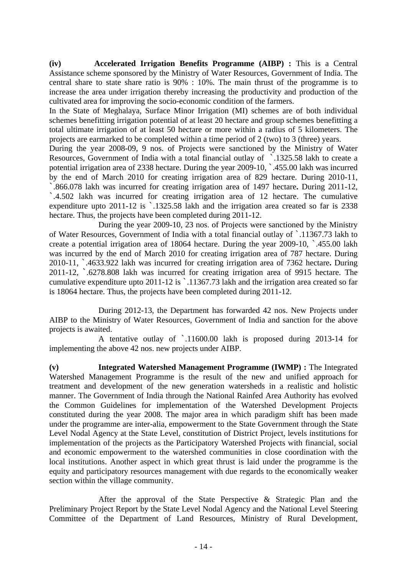**(iv) Accelerated Irrigation Benefits Programme (AIBP) :** This is a Central Assistance scheme sponsored by the Ministry of Water Resources, Government of India. The central share to state share ratio is 90% : 10%. The main thrust of the programme is to increase the area under irrigation thereby increasing the productivity and production of the cultivated area for improving the socio-economic condition of the farmers.

In the State of Meghalaya, Surface Minor Irrigation (MI) schemes are of both individual schemes benefitting irrigation potential of at least 20 hectare and group schemes benefitting a total ultimate irrigation of at least 50 hectare or more within a radius of 5 kilometers. The projects are earmarked to be completed within a time period of 2 (two) to 3 (three) years.

During the year 2008-09, 9 nos. of Projects were sanctioned by the Ministry of Water Resources, Government of India with a total financial outlay of `.1325.58 lakh to create a potential irrigation area of 2338 hectare. During the year 2009-10, `.455.00 lakh was incurred by the end of March 2010 for creating irrigation area of 829 hectare. During 2010-11, `.866.078 lakh was incurred for creating irrigation area of 1497 hectare**.** During 2011-12, `.4.502 lakh was incurred for creating irrigation area of 12 hectare. The cumulative expenditure upto 2011-12 is `.1325.58 lakh and the irrigation area created so far is 2338 hectare. Thus, the projects have been completed during 2011-12.

 During the year 2009-10, 23 nos. of Projects were sanctioned by the Ministry of Water Resources, Government of India with a total financial outlay of `.11367.73 lakh to create a potential irrigation area of 18064 hectare. During the year 2009-10, `.455.00 lakh was incurred by the end of March 2010 for creating irrigation area of 787 hectare. During 2010-11, `.4633.922 lakh was incurred for creating irrigation area of 7362 hectare**.** During 2011-12, `.6278.808 lakh was incurred for creating irrigation area of 9915 hectare. The cumulative expenditure upto 2011-12 is `.11367.73 lakh and the irrigation area created so far is 18064 hectare. Thus, the projects have been completed during 2011-12.

 During 2012-13, the Department has forwarded 42 nos. New Projects under AIBP to the Ministry of Water Resources, Government of India and sanction for the above projects is awaited.

 A tentative outlay of `.11600.00 lakh is proposed during 2013-14 for implementing the above 42 nos. new projects under AIBP.

**(v) Integrated Watershed Management Programme (IWMP) :** The Integrated Watershed Management Programme is the result of the new and unified approach for treatment and development of the new generation watersheds in a realistic and holistic manner. The Government of India through the National Rainfed Area Authority has evolved the Common Guidelines for implementation of the Watershed Development Projects constituted during the year 2008. The major area in which paradigm shift has been made under the programme are inter-alia, empowerment to the State Government through the State Level Nodal Agency at the State Level, constitution of District Project, levels institutions for implementation of the projects as the Participatory Watershed Projects with financial, social and economic empowerment to the watershed communities in close coordination with the local institutions. Another aspect in which great thrust is laid under the programme is the equity and participatory resources management with due regards to the economically weaker section within the village community.

 After the approval of the State Perspective & Strategic Plan and the Preliminary Project Report by the State Level Nodal Agency and the National Level Steering Committee of the Department of Land Resources, Ministry of Rural Development,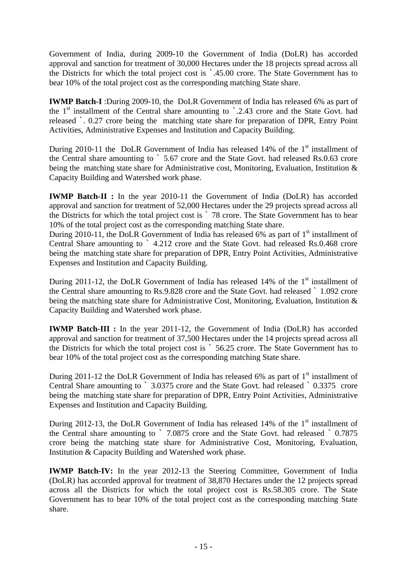Government of India, during 2009-10 the Government of India (DoLR) has accorded approval and sanction for treatment of 30,000 Hectares under the 18 projects spread across all the Districts for which the total project cost is `.45.00 crore. The State Government has to bear 10% of the total project cost as the corresponding matching State share.

**IWMP Batch-I** :During 2009-10, the DoLR Government of India has released 6% as part of the  $1<sup>st</sup>$  installment of the Central share amounting to  $\degree$ .2.43 crore and the State Govt. had released `. 0.27 crore being the matching state share for preparation of DPR, Entry Point Activities, Administrative Expenses and Institution and Capacity Building.

During 2010-11 the DoLR Government of India has released 14% of the  $1<sup>st</sup>$  installment of the Central share amounting to ` 5.67 crore and the State Govt. had released Rs.0.63 crore being the matching state share for Administrative cost, Monitoring, Evaluation, Institution & Capacity Building and Watershed work phase.

**IWMP Batch-II :** In the year 2010-11 the Government of India (DoLR) has accorded approval and sanction for treatment of 52,000 Hectares under the 29 projects spread across all the Districts for which the total project cost is ` 78 crore. The State Government has to bear 10% of the total project cost as the corresponding matching State share.

During 2010-11, the DoLR Government of India has released 6% as part of  $1<sup>st</sup>$  installment of Central Share amounting to ` 4.212 crore and the State Govt. had released Rs.0.468 crore being the matching state share for preparation of DPR, Entry Point Activities, Administrative Expenses and Institution and Capacity Building.

During 2011-12, the DoLR Government of India has released 14% of the  $1<sup>st</sup>$  installment of the Central share amounting to Rs.9.828 crore and the State Govt. had released ` 1.092 crore being the matching state share for Administrative Cost, Monitoring, Evaluation, Institution & Capacity Building and Watershed work phase.

**IWMP Batch-III :** In the year 2011-12, the Government of India (DoLR) has accorded approval and sanction for treatment of 37,500 Hectares under the 14 projects spread across all the Districts for which the total project cost is ` 56.25 crore. The State Government has to bear 10% of the total project cost as the corresponding matching State share.

During 2011-12 the DoLR Government of India has released 6% as part of  $1<sup>st</sup>$  installment of Central Share amounting to ` 3.0375 crore and the State Govt. had released ` 0.3375 crore being the matching state share for preparation of DPR, Entry Point Activities, Administrative Expenses and Institution and Capacity Building.

During 2012-13, the DoLR Government of India has released 14% of the  $1<sup>st</sup>$  installment of the Central share amounting to ` 7.0875 crore and the State Govt. had released ` 0.7875 crore being the matching state share for Administrative Cost, Monitoring, Evaluation, Institution & Capacity Building and Watershed work phase.

**IWMP Batch-IV:** In the year 2012-13 the Steering Committee, Government of India (DoLR) has accorded approval for treatment of 38,870 Hectares under the 12 projects spread across all the Districts for which the total project cost is Rs.58.305 crore. The State Government has to bear 10% of the total project cost as the corresponding matching State share.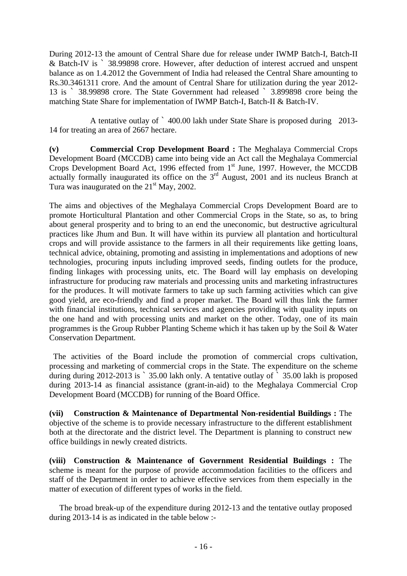During 2012-13 the amount of Central Share due for release under IWMP Batch-I, Batch-II & Batch-IV is ` 38.99898 crore. However, after deduction of interest accrued and unspent balance as on 1.4.2012 the Government of India had released the Central Share amounting to Rs.30.3461311 crore. And the amount of Central Share for utilization during the year 2012- 13 is ` 38.99898 crore. The State Government had released ` 3.899898 crore being the matching State Share for implementation of IWMP Batch-I, Batch-II & Batch-IV.

 A tentative outlay of ` 400.00 lakh under State Share is proposed during 2013- 14 for treating an area of 2667 hectare.

**(v) Commercial Crop Development Board :** The Meghalaya Commercial Crops Development Board (MCCDB) came into being vide an Act call the Meghalaya Commercial Crops Development Board Act, 1996 effected from  $1<sup>st</sup>$  June, 1997. However, the MCCDB actually formally inaugurated its office on the  $3<sup>rd</sup>$  August, 2001 and its nucleus Branch at Tura was inaugurated on the  $21<sup>st</sup>$  May, 2002.

The aims and objectives of the Meghalaya Commercial Crops Development Board are to promote Horticultural Plantation and other Commercial Crops in the State, so as, to bring about general prosperity and to bring to an end the uneconomic, but destructive agricultural practices like Jhum and Bun. It will have within its purview all plantation and horticultural crops and will provide assistance to the farmers in all their requirements like getting loans, technical advice, obtaining, promoting and assisting in implementations and adoptions of new technologies, procuring inputs including improved seeds, finding outlets for the produce, finding linkages with processing units, etc. The Board will lay emphasis on developing infrastructure for producing raw materials and processing units and marketing infrastructures for the produces. It will motivate farmers to take up such farming activities which can give good yield, are eco-friendly and find a proper market. The Board will thus link the farmer with financial institutions, technical services and agencies providing with quality inputs on the one hand and with processing units and market on the other. Today, one of its main programmes is the Group Rubber Planting Scheme which it has taken up by the Soil & Water Conservation Department.

 The activities of the Board include the promotion of commercial crops cultivation, processing and marketing of commercial crops in the State. The expenditure on the scheme during during 2012-2013 is  $\degree$  35.00 lakh only. A tentative outlay of  $\degree$  35.00 lakh is proposed during 2013-14 as financial assistance (grant-in-aid) to the Meghalaya Commercial Crop Development Board (MCCDB) for running of the Board Office.

**(vii) Construction & Maintenance of Departmental Non-residential Buildings :** The objective of the scheme is to provide necessary infrastructure to the different establishment both at the directorate and the district level. The Department is planning to construct new office buildings in newly created districts.

**(viii) Construction & Maintenance of Government Residential Buildings :** The scheme is meant for the purpose of provide accommodation facilities to the officers and staff of the Department in order to achieve effective services from them especially in the matter of execution of different types of works in the field.

 The broad break-up of the expenditure during 2012-13 and the tentative outlay proposed during 2013-14 is as indicated in the table below :-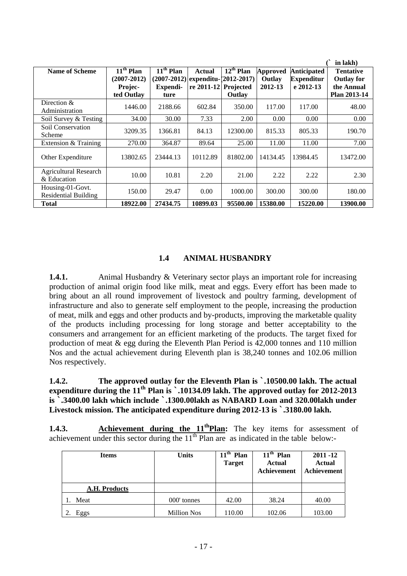|                                             |                 |                                        |                        |                           |                 |                    | in lakh)          |
|---------------------------------------------|-----------------|----------------------------------------|------------------------|---------------------------|-----------------|--------------------|-------------------|
| Name of Scheme                              | $11th$ Plan     | $\overline{11^{th}}$ Plan              | <b>Actual</b>          | $\overline{12^{th}}$ Plan | <b>Approved</b> | <b>Anticipated</b> | <b>Tentative</b>  |
|                                             | $(2007 - 2012)$ | $(2007-2012)$ expenditu- $(2012-2017)$ |                        |                           | Outlay          | <b>Expenditur</b>  | <b>Outlay for</b> |
|                                             | Projec-         | <b>Expendi-</b>                        | $re$ 2011-12 Projected |                           | 2012-13         | e 2012-13          | the Annual        |
|                                             | ted Outlay      | ture                                   |                        | Outlay                    |                 |                    | Plan 2013-14      |
| Direction &                                 | 1446.00         | 2188.66                                | 602.84                 | 350.00                    | 117.00          | 117.00             | 48.00             |
| Administration                              |                 |                                        |                        |                           |                 |                    |                   |
| Soil Survey & Testing                       | 34.00           | 30.00                                  | 7.33                   | 2.00                      | 0.00            | 0.00               | 0.00              |
| Soil Conservation                           | 3209.35         | 1366.81                                | 84.13                  | 12300.00                  | 815.33          | 805.33             | 190.70            |
| Scheme                                      |                 |                                        |                        |                           |                 |                    |                   |
| Extension & Training                        | 270.00          | 364.87                                 | 89.64                  | 25.00                     | 11.00           | 11.00              | 7.00              |
| Other Expenditure                           | 13802.65        | 23444.13                               | 10112.89               | 81802.00                  | 14134.45        | 13984.45           | 13472.00          |
| <b>Agricultural Research</b><br>& Education | 10.00           | 10.81                                  | 2.20                   | 21.00                     | 2.22            | 2.22               | 2.30              |
| Housing-01-Govt.                            | 150.00          | 29.47                                  | 0.00                   | 1000.00                   | 300.00          | 300.00             | 180.00            |
| <b>Residential Building</b>                 |                 |                                        |                        |                           |                 |                    |                   |
| Total                                       | 18922.00        | 27434.75                               | 10899.03               | 95500.00                  | 15380.00        | 15220.00           | 13900.00          |

# **1.4 ANIMAL HUSBANDRY**

**1.4.1.** Animal Husbandry & Veterinary sector plays an important role for increasing production of animal origin food like milk, meat and eggs. Every effort has been made to bring about an all round improvement of livestock and poultry farming, development of infrastructure and also to generate self employment to the people, increasing the production of meat, milk and eggs and other products and by-products, improving the marketable quality of the products including processing for long storage and better acceptability to the consumers and arrangement for an efficient marketing of the products. The target fixed for production of meat & egg during the Eleventh Plan Period is 42,000 tonnes and 110 million Nos and the actual achievement during Eleventh plan is 38,240 tonnes and 102.06 million Nos respectively.

# **1.4.2. The approved outlay for the Eleventh Plan is `.10500.00 lakh. The actual expenditure during the 11<sup>th</sup> Plan is `.10134.09 lakh. The approved outlay for 2012-2013 is `.3400.00 lakh which include `.1300.00lakh as NABARD Loan and 320.00lakh under Livestock mission. The anticipated expenditure during 2012-13 is `.3180.00 lakh.**

**1.4.3.** Achievement during the 11<sup>th</sup>Plan: The key items for assessment of achievement under this sector during the  $11<sup>th</sup>$  Plan are as indicated in the table below:-

| <b>Items</b>  | <b>Units</b> | $11th$ Plan<br><b>Target</b> | $11th$ Plan<br><b>Actual</b><br>Achievement | $2011 - 12$<br><b>Actual</b><br>Achievement |
|---------------|--------------|------------------------------|---------------------------------------------|---------------------------------------------|
| A.H. Products |              |                              |                                             |                                             |
| Meat          | 000' tonnes  | 42.00                        | 38.24                                       | 40.00                                       |
| Eggs          | Million Nos  | 110.00                       | 102.06                                      | 103.00                                      |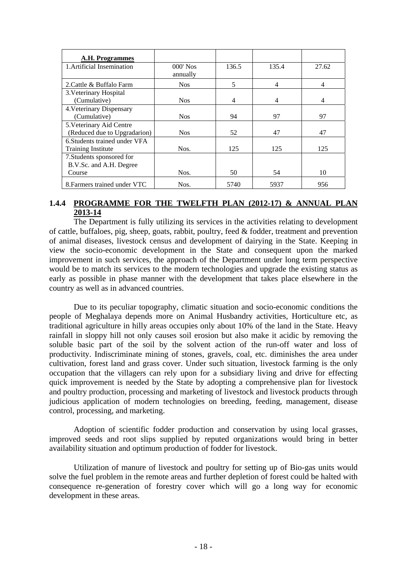| A.H. Programmes                                            |                        |       |                |                |
|------------------------------------------------------------|------------------------|-------|----------------|----------------|
| 1. Artificial Insemination                                 | $000'$ Nos<br>annually | 136.5 | 135.4          | 27.62          |
| 2. Cattle & Buffalo Farm                                   | <b>Nos</b>             | 5     | $\overline{4}$ | $\overline{4}$ |
| 3. Veterinary Hospital<br>(Cumulative)                     | <b>Nos</b>             | 4     | $\overline{4}$ | $\overline{4}$ |
| 4. Veterinary Dispensary<br>(Cumulative)                   | <b>Nos</b>             | 94    | 97             | 97             |
| 5. Veterinary Aid Centre<br>(Reduced due to Upgradarion)   | <b>Nos</b>             | 52    | 47             | 47             |
| 6. Students trained under VFA<br><b>Training Institute</b> | Nos.                   | 125   | 125            | 125            |
| 7. Students sponsored for<br>B.V.Sc. and A.H. Degree       |                        |       |                |                |
| Course                                                     | Nos.                   | 50    | 54             | 10             |
| 8. Farmers trained under VTC                               | Nos.                   | 5740  | 5937           | 956            |

### **1.4.4 PROGRAMME FOR THE TWELFTH PLAN (2012-17) & ANNUAL PLAN 2013-14**

The Department is fully utilizing its services in the activities relating to development of cattle, buffaloes, pig, sheep, goats, rabbit, poultry, feed & fodder, treatment and prevention of animal diseases, livestock census and development of dairying in the State. Keeping in view the socio-economic development in the State and consequent upon the marked improvement in such services, the approach of the Department under long term perspective would be to match its services to the modern technologies and upgrade the existing status as early as possible in phase manner with the development that takes place elsewhere in the country as well as in advanced countries.

Due to its peculiar topography, climatic situation and socio-economic conditions the people of Meghalaya depends more on Animal Husbandry activities, Horticulture etc, as traditional agriculture in hilly areas occupies only about 10% of the land in the State. Heavy rainfall in sloppy hill not only causes soil erosion but also make it acidic by removing the soluble basic part of the soil by the solvent action of the run-off water and loss of productivity. Indiscriminate mining of stones, gravels, coal, etc. diminishes the area under cultivation, forest land and grass cover. Under such situation, livestock farming is the only occupation that the villagers can rely upon for a subsidiary living and drive for effecting quick improvement is needed by the State by adopting a comprehensive plan for livestock and poultry production, processing and marketing of livestock and livestock products through judicious application of modern technologies on breeding, feeding, management, disease control, processing, and marketing.

Adoption of scientific fodder production and conservation by using local grasses, improved seeds and root slips supplied by reputed organizations would bring in better availability situation and optimum production of fodder for livestock.

Utilization of manure of livestock and poultry for setting up of Bio-gas units would solve the fuel problem in the remote areas and further depletion of forest could be halted with consequence re-generation of forestry cover which will go a long way for economic development in these areas.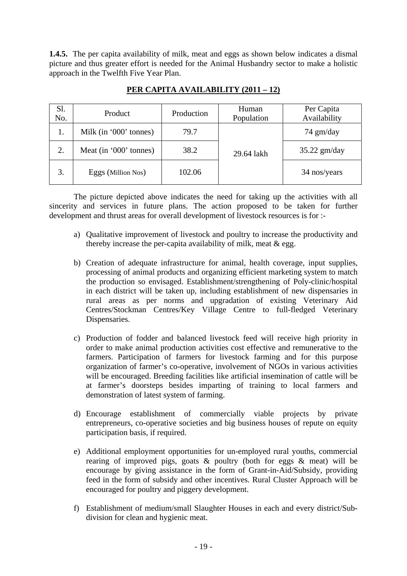**1.4.5.** The per capita availability of milk, meat and eggs as shown below indicates a dismal picture and thus greater effort is needed for the Animal Husbandry sector to make a holistic approach in the Twelfth Five Year Plan.

| Sl.<br>No. | Product                | Production | Human<br>Population | Per Capita<br>Availability |
|------------|------------------------|------------|---------------------|----------------------------|
| 1.         | Milk (in '000' tonnes) | 79.7       |                     | $74 \text{ gm/day}$        |
| 2.         | Meat (in '000' tonnes) | 38.2       | 29.64 lakh          | $35.22$ gm/day             |
| 3.         | Eggs (Million Nos)     | 102.06     |                     | 34 nos/years               |

# **PER CAPITA AVAILABILITY (2011 – 12)**

The picture depicted above indicates the need for taking up the activities with all sincerity and services in future plans. The action proposed to be taken for further development and thrust areas for overall development of livestock resources is for :-

- a) Qualitative improvement of livestock and poultry to increase the productivity and thereby increase the per-capita availability of milk, meat  $\&$  egg.
- b) Creation of adequate infrastructure for animal, health coverage, input supplies, processing of animal products and organizing efficient marketing system to match the production so envisaged. Establishment/strengthening of Poly-clinic/hospital in each district will be taken up, including establishment of new dispensaries in rural areas as per norms and upgradation of existing Veterinary Aid Centres/Stockman Centres/Key Village Centre to full-fledged Veterinary Dispensaries.
- c) Production of fodder and balanced livestock feed will receive high priority in order to make animal production activities cost effective and remunerative to the farmers. Participation of farmers for livestock farming and for this purpose organization of farmer's co-operative, involvement of NGOs in various activities will be encouraged. Breeding facilities like artificial insemination of cattle will be at farmer's doorsteps besides imparting of training to local farmers and demonstration of latest system of farming.
- d) Encourage establishment of commercially viable projects by private entrepreneurs, co-operative societies and big business houses of repute on equity participation basis, if required.
- e) Additional employment opportunities for un-employed rural youths, commercial rearing of improved pigs, goats & poultry (both for eggs & meat) will be encourage by giving assistance in the form of Grant-in-Aid/Subsidy, providing feed in the form of subsidy and other incentives. Rural Cluster Approach will be encouraged for poultry and piggery development.
- f) Establishment of medium/small Slaughter Houses in each and every district/Subdivision for clean and hygienic meat.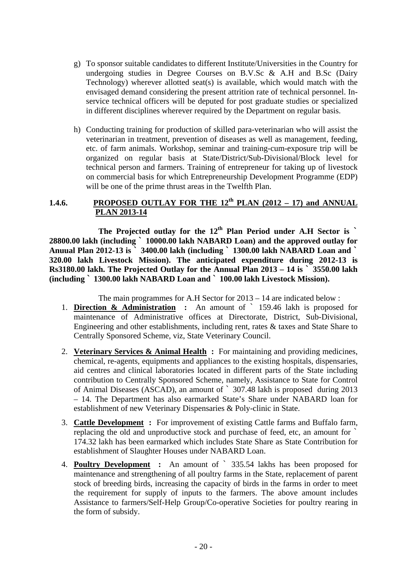- g) To sponsor suitable candidates to different Institute/Universities in the Country for undergoing studies in Degree Courses on B.V.Sc & A.H and B.Sc (Dairy Technology) wherever allotted seat(s) is available, which would match with the envisaged demand considering the present attrition rate of technical personnel. Inservice technical officers will be deputed for post graduate studies or specialized in different disciplines wherever required by the Department on regular basis.
- h) Conducting training for production of skilled para-veterinarian who will assist the veterinarian in treatment, prevention of diseases as well as management, feeding, etc. of farm animals. Workshop, seminar and training-cum-exposure trip will be organized on regular basis at State/District/Sub-Divisional/Block level for technical person and farmers. Training of entrepreneur for taking up of livestock on commercial basis for which Entrepreneurship Development Programme (EDP) will be one of the prime thrust areas in the Twelfth Plan.

# **1.4.6. PROPOSED OUTLAY FOR THE 12th PLAN (2012 – 17) and ANNUAL PLAN 2013-14**

The Projected outlay for the 12<sup>th</sup> Plan Period under A.H Sector is ` **28800.00 lakh (including ` 10000.00 lakh NABARD Loan) and the approved outlay for Anuual Plan 2012-13 is ` 3400.00 lakh (including ` 1300.00 lakh NABARD Loan and ` 320.00 lakh Livestock Mission). The anticipated expenditure during 2012-13 is Rs3180.00 lakh. The Projected Outlay for the Annual Plan 2013 – 14 is ` 3550.00 lakh (including ` 1300.00 lakh NABARD Loan and ` 100.00 lakh Livestock Mission).** 

The main programmes for A.H Sector for 2013 – 14 are indicated below :

- 1. **Direction & Administration :** An amount of ` 159.46 lakh is proposed for maintenance of Administrative offices at Directorate, District, Sub-Divisional, Engineering and other establishments, including rent, rates & taxes and State Share to Centrally Sponsored Scheme, viz, State Veterinary Council.
- 2. **Veterinary Services & Animal Health :** For maintaining and providing medicines, chemical, re-agents, equipments and appliances to the existing hospitals, dispensaries, aid centres and clinical laboratories located in different parts of the State including contribution to Centrally Sponsored Scheme, namely, Assistance to State for Control of Animal Diseases (ASCAD), an amount of ` 307.48 lakh is proposed during 2013 – 14. The Department has also earmarked State's Share under NABARD loan for establishment of new Veterinary Dispensaries & Poly-clinic in State.
- 3. **Cattle Development :** For improvement of existing Cattle farms and Buffalo farm, replacing the old and unproductive stock and purchase of feed, etc, an amount for ` 174.32 lakh has been earmarked which includes State Share as State Contribution for establishment of Slaughter Houses under NABARD Loan.
- 4. **Poultry Development :** An amount of ` 335.54 lakhs has been proposed for maintenance and strengthening of all poultry farms in the State, replacement of parent stock of breeding birds, increasing the capacity of birds in the farms in order to meet the requirement for supply of inputs to the farmers. The above amount includes Assistance to farmers/Self-Help Group/Co-operative Societies for poultry rearing in the form of subsidy.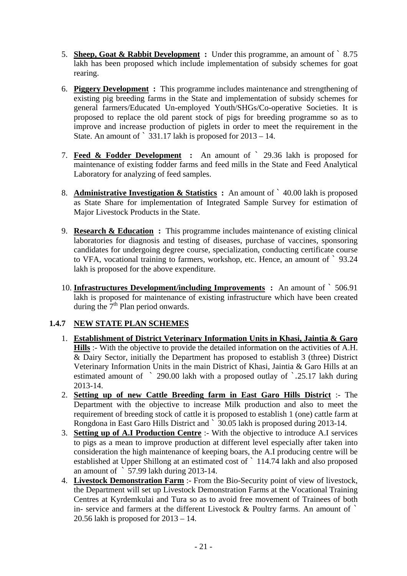- 5. **Sheep, Goat & Rabbit Development :** Under this programme, an amount of ` 8.75 lakh has been proposed which include implementation of subsidy schemes for goat rearing.
- 6. **Piggery Development :** This programme includes maintenance and strengthening of existing pig breeding farms in the State and implementation of subsidy schemes for general farmers/Educated Un-employed Youth/SHGs/Co-operative Societies. It is proposed to replace the old parent stock of pigs for breeding programme so as to improve and increase production of piglets in order to meet the requirement in the State. An amount of  $\degree$  331.17 lakh is proposed for 2013 – 14.
- 7. **Feed & Fodder Development :** An amount of ` 29.36 lakh is proposed for maintenance of existing fodder farms and feed mills in the State and Feed Analytical Laboratory for analyzing of feed samples.
- 8. **Administrative Investigation & Statistics :** An amount of ` 40.00 lakh is proposed as State Share for implementation of Integrated Sample Survey for estimation of Major Livestock Products in the State.
- 9. **Research & Education :** This programme includes maintenance of existing clinical laboratories for diagnosis and testing of diseases, purchase of vaccines, sponsoring candidates for undergoing degree course, specialization, conducting certificate course to VFA, vocational training to farmers, workshop, etc. Hence, an amount of ` 93.24 lakh is proposed for the above expenditure.
- 10. **Infrastructures Development/including Improvements :** An amount of ` 506.91 lakh is proposed for maintenance of existing infrastructure which have been created during the  $7<sup>th</sup>$  Plan period onwards.

# **1.4.7 NEW STATE PLAN SCHEMES**

- 1. **Establishment of District Veterinary Information Units in Khasi, Jaintia & Garo Hills** :- With the objective to provide the detailed information on the activities of A.H. & Dairy Sector, initially the Department has proposed to establish 3 (three) District Veterinary Information Units in the main District of Khasi, Jaintia & Garo Hills at an estimated amount of ` 290.00 lakh with a proposed outlay of `.25.17 lakh during 2013-14.
- 2. **Setting up of new Cattle Breeding farm in East Garo Hills District** :- The Department with the objective to increase Milk production and also to meet the requirement of breeding stock of cattle it is proposed to establish 1 (one) cattle farm at Rongdona in East Garo Hills District and ` 30.05 lakh is proposed during 2013-14.
- 3. **Setting up of A.I Production Centre** :- With the objective to introduce A.I services to pigs as a mean to improve production at different level especially after taken into consideration the high maintenance of keeping boars, the A.I producing centre will be established at Upper Shillong at an estimated cost of ` 114.74 lakh and also proposed an amount of ` 57.99 lakh during 2013-14.
- 4. **Livestock Demonstration Farm** :- From the Bio-Security point of view of livestock, the Department will set up Livestock Demonstration Farms at the Vocational Training Centres at Kyrdemkulai and Tura so as to avoid free movement of Trainees of both in- service and farmers at the different Livestock & Poultry farms. An amount of  $\degree$ 20.56 lakh is proposed for 2013 – 14.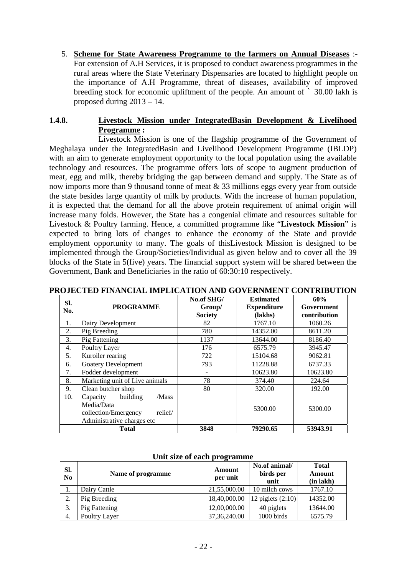5. **Scheme for State Awareness Programme to the farmers on Annual Diseases** :- For extension of A.H Services, it is proposed to conduct awareness programmes in the rural areas where the State Veterinary Dispensaries are located to highlight people on the importance of A.H Programme, threat of diseases, availability of improved breeding stock for economic upliftment of the people. An amount of ` 30.00 lakh is proposed during 2013 – 14.

## **1.4.8. Livestock Mission under IntegratedBasin Development & Livelihood Programme :**

 Livestock Mission is one of the flagship programme of the Government of Meghalaya under the IntegratedBasin and Livelihood Development Programme (IBLDP) with an aim to generate employment opportunity to the local population using the available technology and resources. The programme offers lots of scope to augment production of meat, egg and milk, thereby bridging the gap between demand and supply. The State as of now imports more than 9 thousand tonne of meat & 33 millions eggs every year from outside the state besides large quantity of milk by products. With the increase of human population, it is expected that the demand for all the above protein requirement of animal origin will increase many folds. However, the State has a congenial climate and resources suitable for Livestock & Poultry farming. Hence, a committed programme like "**Livestock Mission**" is expected to bring lots of changes to enhance the economy of the State and provide employment opportunity to many. The goals of thisLivestock Mission is designed to be implemented through the Group/Societies/Individual as given below and to cover all the 39 blocks of the State in 5(five) years. The financial support system will be shared between the Government, Bank and Beneficiaries in the ratio of 60:30:10 respectively.

| SI.<br>No. | <b>PROGRAMME</b>                                                                                             | No.of SHG/<br>Group/<br><b>Society</b> | <b>Estimated</b><br><b>Expenditure</b><br>(lakhs) | 60%<br>Government<br>contribution |
|------------|--------------------------------------------------------------------------------------------------------------|----------------------------------------|---------------------------------------------------|-----------------------------------|
| 1.         | Dairy Development                                                                                            | 82                                     | 1767.10                                           | 1060.26                           |
| 2.         | Pig Breeding                                                                                                 | 780                                    | 14352.00                                          | 8611.20                           |
| 3.         | Pig Fattening                                                                                                | 1137                                   | 13644.00                                          | 8186.40                           |
| 4.         | Poultry Layer                                                                                                | 176                                    | 6575.79                                           | 3945.47                           |
| 5.         | Kuroiler rearing                                                                                             | 722                                    | 15104.68                                          | 9062.81                           |
| 6.         | <b>Goatery Development</b>                                                                                   | 793                                    | 11228.88                                          | 6737.33                           |
| 7.         | Fodder development                                                                                           |                                        | 10623.80                                          | 10623.80                          |
| 8.         | Marketing unit of Live animals                                                                               | 78                                     | 374.40                                            | 224.64                            |
| 9.         | Clean butcher shop                                                                                           | 80                                     | 320.00                                            | 192.00                            |
| 10.        | building<br>/Mass<br>Capacity<br>Media/Data<br>relief/<br>collection/Emergency<br>Administrative charges etc |                                        | 5300.00                                           | 5300.00                           |
|            | <b>Total</b>                                                                                                 | 3848                                   | 79290.65                                          | 53943.91                          |

# **PROJECTED FINANCIAL IMPLICATION AND GOVERNMENT CONTRIBUTION**

#### **Unit size of each programme**

| SI.<br>No | Name of programme | Amount<br>per unit | No.of animal/<br>birds per<br>unit | <b>Total</b><br>Amount<br>$(in$ lakh $)$ |
|-----------|-------------------|--------------------|------------------------------------|------------------------------------------|
| 1.        | Dairy Cattle      | 21,55,000.00       | 10 milch cows                      | 1767.10                                  |
| 2.        | Pig Breeding      | 18,40,000.00       | 12 piglets $(2:10)$                | 14352.00                                 |
| 3.        | Pig Fattening     | 12,00,000.00       | 40 piglets                         | 13644.00                                 |
| 4.        | Poultry Layer     | 37, 36, 240.00     | 1000 birds                         | 6575.79                                  |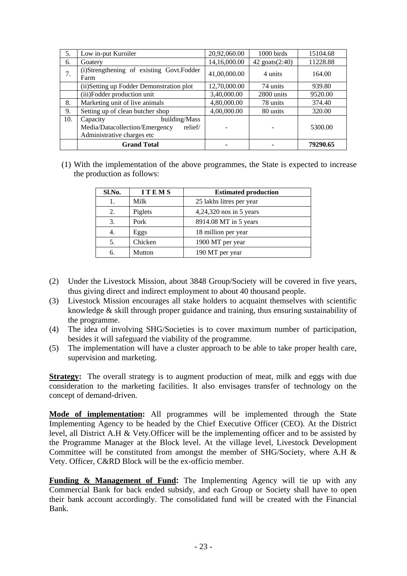| 5.  | Low in-put Kuroiler                                                                                  | 20,92,060.00 | 1000 birds          | 15104.68 |
|-----|------------------------------------------------------------------------------------------------------|--------------|---------------------|----------|
| 6.  | Goatery                                                                                              | 14,16,000.00 | $42$ goats $(2:40)$ | 11228.88 |
| 7.  | (i)Strengthening of existing Govt.Fodder<br>Farm                                                     | 41,00,000.00 | 4 units             | 164.00   |
|     | (ii) Setting up Fodder Demonstration plot                                                            | 12,70,000.00 | 74 units            | 939.80   |
|     | (iii)Fodder production unit                                                                          | 3,40,000.00  | 2800 units          | 9520.00  |
| 8.  | Marketing unit of live animals                                                                       | 4,80,000.00  | 78 units            | 374.40   |
| 9.  | Setting up of clean butcher shop                                                                     | 4,00,000.00  | 80 units            | 320.00   |
| 10. | building/Mass<br>Capacity<br>Media/Datacollection/Emergency<br>relief/<br>Administrative charges etc |              |                     | 5300.00  |
|     | <b>Grand Total</b>                                                                                   |              |                     | 79290.65 |

(1) With the implementation of the above programmes, the State is expected to increase the production as follows:

| Sl.No. | <b>ITEMS</b> | <b>Estimated production</b> |
|--------|--------------|-----------------------------|
|        | Milk         | 25 lakhs litres per year    |
| 2.     | Piglets      | 4,24,320 nos in 5 years     |
| 3.     | Pork         | 8914.08 MT in 5 years       |
| 4.     | Eggs         | 18 million per year         |
| 5.     | Chicken      | 1900 MT per year            |
| 6.     | Mutton       | 190 MT per year             |

- (2) Under the Livestock Mission, about 3848 Group/Society will be covered in five years, thus giving direct and indirect employment to about 40 thousand people.
- (3) Livestock Mission encourages all stake holders to acquaint themselves with scientific knowledge & skill through proper guidance and training, thus ensuring sustainability of the programme.
- (4) The idea of involving SHG/Societies is to cover maximum number of participation, besides it will safeguard the viability of the programme.
- (5) The implementation will have a cluster approach to be able to take proper health care, supervision and marketing.

**Strategy:** The overall strategy is to augment production of meat, milk and eggs with due consideration to the marketing facilities. It also envisages transfer of technology on the concept of demand-driven.

**Mode of implementation:** All programmes will be implemented through the State Implementing Agency to be headed by the Chief Executive Officer (CEO). At the District level, all District A.H & Vety.Officer will be the implementing officer and to be assisted by the Programme Manager at the Block level. At the village level, Livestock Development Committee will be constituted from amongst the member of SHG/Society, where A.H & Vety. Officer, C&RD Block will be the ex-officio member.

**Funding & Management of Fund:** The Implementing Agency will tie up with any Commercial Bank for back ended subsidy, and each Group or Society shall have to open their bank account accordingly. The consolidated fund will be created with the Financial Bank.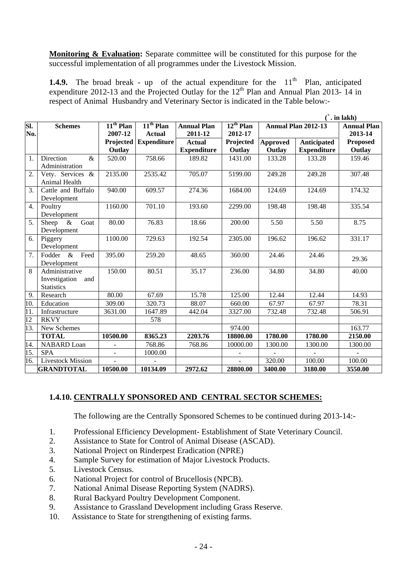**Monitoring & Evaluation:** Separate committee will be constituted for this purpose for the successful implementation of all programmes under the Livestock Mission.

**1.4.9.** The broad break - up of the actual expenditure for the 11<sup>th</sup> Plan, anticipated expenditure 2012-13 and the Projected Outlay for the  $12<sup>th</sup>$  Plan and Annual Plan 2013- 14 in respect of Animal Husbandry and Veterinary Sector is indicated in the Table below:-

|                   |                                                             |             |                    |                    |                |                            |                    | . in lakh)      |
|-------------------|-------------------------------------------------------------|-------------|--------------------|--------------------|----------------|----------------------------|--------------------|-----------------|
| SI.               | <b>Schemes</b>                                              | $11th$ Plan | $11th$ Plan        | <b>Annual Plan</b> | $12^{th}$ Plan | <b>Annual Plan 2012-13</b> | <b>Annual Plan</b> |                 |
| No.               |                                                             | 2007-12     | <b>Actual</b>      | 2011-12            | 2012-17        |                            |                    | 2013-14         |
|                   |                                                             | Projected   | <b>Expenditure</b> | <b>Actual</b>      | Projected      | <b>Approved</b>            | Anticipated        | <b>Proposed</b> |
|                   |                                                             | Outlay      |                    | <b>Expenditure</b> | Outlay         | Outlay                     | <b>Expenditure</b> | Outlay          |
| 1.                | Direction<br>&<br>Administration                            | 520.00      | 758.66             | 189.82             | 1431.00        | 133.28                     | 133.28             | 159.46          |
| $\overline{2}$ .  | Vety. Services &<br>Animal Health                           | 2135.00     | 2535.42            | 705.07             | 5199.00        | 249.28                     | 249.28             | 307.48          |
| 3.                | Cattle and Buffalo<br>Development                           | 940.00      | 609.57             | 274.36             | 1684.00        | 124.69                     | 124.69             | 174.32          |
| $\overline{4}$ .  | Poultry<br>Development                                      | 1160.00     | 701.10             | 193.60             | 2299.00        | 198.48                     | 198.48             | 335.54          |
| 5.                | $\&$<br>Sheep<br>Goat<br>Development                        | 80.00       | 76.83              | 18.66              | 200.00         | 5.50                       | 5.50               | 8.75            |
| 6.                | Piggery<br>Development                                      | 1100.00     | 729.63             | 192.54             | 2305.00        | 196.62                     | 196.62             | 331.17          |
| 7.                | $\&$<br>Fodder<br>Feed<br>Development                       | 395.00      | 259.20             | 48.65              | 360.00         | 24.46                      | 24.46              | 29.36           |
| 8                 | Administrative<br>Investigation<br>and<br><b>Statistics</b> | 150.00      | 80.51              | 35.17              | 236.00         | 34.80                      | 34.80              | 40.00           |
| 9                 | Research                                                    | 80.00       | 67.69              | 15.78              | 125.00         | 12.44                      | 12.44              | 14.93           |
| 10.               | Education                                                   | 309.00      | 320.73             | 88.07              | 660.00         | 67.97                      | 67.97              | 78.31           |
| $\overline{11}$ . | Infrastructure                                              | 3631.00     | 1647.89            | 442.04             | 3327.00        | 732.48                     | 732.48             | 506.91          |
| $\overline{12}$   | <b>RKVY</b>                                                 |             | 578                |                    |                |                            |                    |                 |
| 13.               | New Schemes                                                 |             |                    |                    | 974.00         |                            |                    | 163.77          |
|                   | <b>TOTAL</b>                                                | 10500.00    | 8365.23            | 2203.76            | 18800.00       | 1780.00                    | 1780.00            | 2150.00         |
| 14.               | NABARD Loan                                                 |             | 768.86             | 768.86             | 10000.00       | 1300.00                    | 1300.00            | 1300.00         |
| 15.               | <b>SPA</b>                                                  |             | 1000.00            |                    |                |                            |                    |                 |
| 16.               | <b>Livestock Mission</b>                                    |             |                    |                    |                | 320.00                     | 100.00             | 100.00          |
|                   | <b>GRANDTOTAL</b>                                           | 10500.00    | 10134.09           | 2972.62            | 28800.00       | 3400.00                    | 3180.00            | 3550.00         |

# **1.4.10. CENTRALLY SPONSORED AND CENTRAL SECTOR SCHEMES:**

The following are the Centrally Sponsored Schemes to be continued during 2013-14:-

- 1. Professional Efficiency Development- Establishment of State Veterinary Council.
- 2. Assistance to State for Control of Animal Disease (ASCAD).
- 3. National Project on Rinderpest Eradication (NPRE)
- 4. Sample Survey for estimation of Major Livestock Products.
- 5. Livestock Census.
- 6. National Project for control of Brucellosis (NPCB).
- 7. National Animal Disease Reporting System (NADRS).
- 8. Rural Backyard Poultry Development Component.
- 9. Assistance to Grassland Development including Grass Reserve.
- 10. Assistance to State for strengthening of existing farms.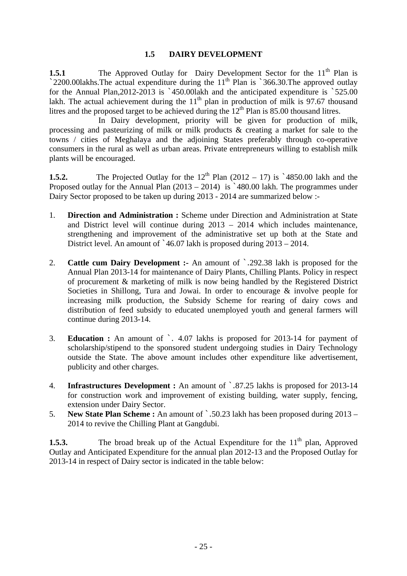## **1.5 DAIRY DEVELOPMENT**

**1.5.1** The Approved Outlay for Dairy Development Sector for the 11<sup>th</sup> Plan is  $\degree$ 2200.00lakhs. The actual expenditure during the 11<sup>th</sup> Plan is  $\degree$ 366.30. The approved outlay for the Annual Plan,2012-2013 is `450.00lakh and the anticipated expenditure is `525.00 lakh. The actual achievement during the  $11<sup>th</sup>$  plan in production of milk is 97.67 thousand litres and the proposed target to be achieved during the  $12<sup>th</sup>$  Plan is 85.00 thousand litres.

In Dairy development, priority will be given for production of milk, processing and pasteurizing of milk or milk products & creating a market for sale to the towns / cities of Meghalaya and the adjoining States preferably through co-operative consumers in the rural as well as urban areas. Private entrepreneurs willing to establish milk plants will be encouraged.

**1.5.2.** The Projected Outlay for the  $12<sup>th</sup>$  Plan (2012 – 17) is  $\degree$ 4850.00 lakh and the Proposed outlay for the Annual Plan  $(2013 - 2014)$  is  $\degree$ 480.00 lakh. The programmes under Dairy Sector proposed to be taken up during 2013 - 2014 are summarized below :-

- 1. **Direction and Administration :** Scheme under Direction and Administration at State and District level will continue during  $2013 - 2014$  which includes maintenance, strengthening and improvement of the administrative set up both at the State and District level. An amount of `46.07 lakh is proposed during 2013 – 2014.
- 2. **Cattle cum Dairy Development :-** An amount of `.292.38 lakh is proposed for the Annual Plan 2013-14 for maintenance of Dairy Plants, Chilling Plants. Policy in respect of procurement & marketing of milk is now being handled by the Registered District Societies in Shillong, Tura and Jowai. In order to encourage & involve people for increasing milk production, the Subsidy Scheme for rearing of dairy cows and distribution of feed subsidy to educated unemployed youth and general farmers will continue during 2013-14.
- 3. **Education :** An amount of `. 4.07 lakhs is proposed for 2013-14 for payment of scholarship/stipend to the sponsored student undergoing studies in Dairy Technology outside the State. The above amount includes other expenditure like advertisement, publicity and other charges.
- 4. **Infrastructures Development :** An amount of `.87.25 lakhs is proposed for 2013-14 for construction work and improvement of existing building, water supply, fencing, extension under Dairy Sector.
- 5. **New State Plan Scheme :** An amount of `.50.23 lakh has been proposed during 2013 2014 to revive the Chilling Plant at Gangdubi.

**1.5.3.** The broad break up of the Actual Expenditure for the 11<sup>th</sup> plan, Approved Outlay and Anticipated Expenditure for the annual plan 2012-13 and the Proposed Outlay for 2013-14 in respect of Dairy sector is indicated in the table below: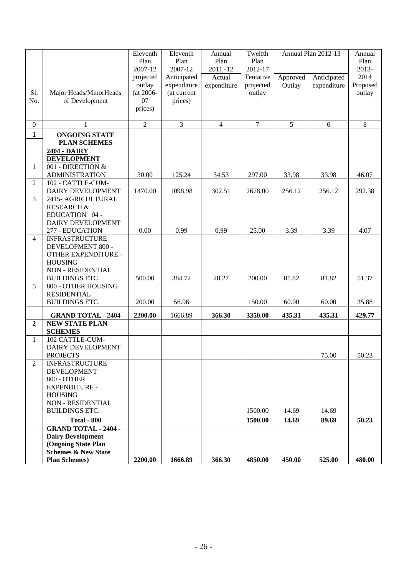|                  |                                                   | Eleventh<br>Plan | Eleventh<br>Plan | Annual<br>Plan | Twelfth<br>Plan |          | Annual Plan 2012-13 | Annual<br>Plan |
|------------------|---------------------------------------------------|------------------|------------------|----------------|-----------------|----------|---------------------|----------------|
|                  |                                                   | 2007-12          | 2007-12          | 2011-12        | 2012-17         |          |                     | 2013-          |
|                  |                                                   | projected        | Anticipated      | Actual         | Tentative       | Approved | Anticipated         | 2014           |
|                  |                                                   | outlay           | expenditure      | expenditure    | projected       | Outlay   | expenditure         | Proposed       |
| Sl.              | Major Heads/MinorHeads                            | (at 2006-        | (at current      |                | outlay          |          |                     | outlay         |
| No.              | of Development                                    | 07               | prices)          |                |                 |          |                     |                |
|                  |                                                   | prices)          |                  |                |                 |          |                     |                |
| $\overline{0}$   | 1                                                 | $\overline{2}$   | $\overline{3}$   | $\overline{4}$ | $\overline{7}$  | 5        | 6                   | 8              |
| $\mathbf{1}$     | <b>ONGOING STATE</b>                              |                  |                  |                |                 |          |                     |                |
|                  | <b>PLAN SCHEMES</b>                               |                  |                  |                |                 |          |                     |                |
|                  | 2404 - DAIRY                                      |                  |                  |                |                 |          |                     |                |
|                  | <b>DEVELOPMENT</b>                                |                  |                  |                |                 |          |                     |                |
| 1                | 001 - DIRECTION &                                 |                  |                  |                |                 |          |                     |                |
|                  | <b>ADMINISTRATION</b><br>102 - CATTLE-CUM-        | 30.00            | 125.24           | 34.53          | 297.00          | 33.98    | 33.98               | 46.07          |
| 2                | DAIRY DEVELOPMENT                                 | 1470.00          | 1098.98          | 302.51         | 2678.00         | 256.12   | 256.12              | 292.38         |
| 3                | 2415- AGRICULTURAL                                |                  |                  |                |                 |          |                     |                |
|                  | <b>RESEARCH &amp;</b>                             |                  |                  |                |                 |          |                     |                |
|                  | EDUCATION 04 -                                    |                  |                  |                |                 |          |                     |                |
|                  | DAIRY DEVELOPMENT                                 |                  |                  |                |                 |          |                     |                |
|                  | 277 - EDUCATION                                   | 0.00             | 0.99             | 0.99           | 25.00           | 3.39     | 3.39                | 4.07           |
| $\overline{4}$   | <b>INFRASTRUCTURE</b>                             |                  |                  |                |                 |          |                     |                |
|                  | DEVELOPMENT 800 -                                 |                  |                  |                |                 |          |                     |                |
|                  | OTHER EXPENDITURE -                               |                  |                  |                |                 |          |                     |                |
|                  | <b>HOUSING</b>                                    |                  |                  |                |                 |          |                     |                |
|                  | <b>NON - RESIDENTIAL</b><br><b>BUILDINGS ETC.</b> | 500.00           | 384.72           | 28.27          | 200.00          | 81.82    | 81.82               | 51.37          |
| 5                | 800 - OTHER HOUSING                               |                  |                  |                |                 |          |                     |                |
|                  | <b>RESIDENTIAL</b>                                |                  |                  |                |                 |          |                     |                |
|                  | <b>BUILDINGS ETC.</b>                             | 200.00           | 56.96            |                | 150.00          | 60.00    | 60.00               | 35.88          |
|                  | <b>GRAND TOTAL - 2404</b>                         | 2200.00          | 1666.89          | 366.30         | 3350.00         | 435.31   | 435.31              | 429.77         |
| $\boldsymbol{2}$ | <b>NEW STATE PLAN</b>                             |                  |                  |                |                 |          |                     |                |
|                  | <b>SCHEMES</b>                                    |                  |                  |                |                 |          |                     |                |
| 1                | 102 CATTLE-CUM-                                   |                  |                  |                |                 |          |                     |                |
|                  | DAIRY DEVELOPMENT                                 |                  |                  |                |                 |          |                     |                |
|                  | <b>PROJECTS</b>                                   |                  |                  |                |                 |          | 75.00               | 50.23          |
| $\overline{2}$   | <b>INFRASTRUCTURE</b>                             |                  |                  |                |                 |          |                     |                |
|                  | <b>DEVELOPMENT</b>                                |                  |                  |                |                 |          |                     |                |
|                  | <b>800 - OTHER</b>                                |                  |                  |                |                 |          |                     |                |
|                  | <b>EXPENDITURE -</b><br><b>HOUSING</b>            |                  |                  |                |                 |          |                     |                |
|                  | NON - RESIDENTIAL                                 |                  |                  |                |                 |          |                     |                |
|                  | <b>BUILDINGS ETC.</b>                             |                  |                  |                | 1500.00         | 14.69    | 14.69               |                |
|                  | <b>Total - 800</b>                                |                  |                  |                | 1500.00         | 14.69    | 89.69               | 50.23          |
|                  | <b>GRAND TOTAL - 2404 -</b>                       |                  |                  |                |                 |          |                     |                |
|                  | <b>Dairy Development</b>                          |                  |                  |                |                 |          |                     |                |
|                  | (Ongoing State Plan                               |                  |                  |                |                 |          |                     |                |
|                  | <b>Schemes &amp; New State</b>                    |                  |                  |                |                 |          |                     |                |
|                  | <b>Plan Schemes)</b>                              | 2200.00          | 1666.89          | 366.30         | 4850.00         | 450.00   | 525.00              | 480.00         |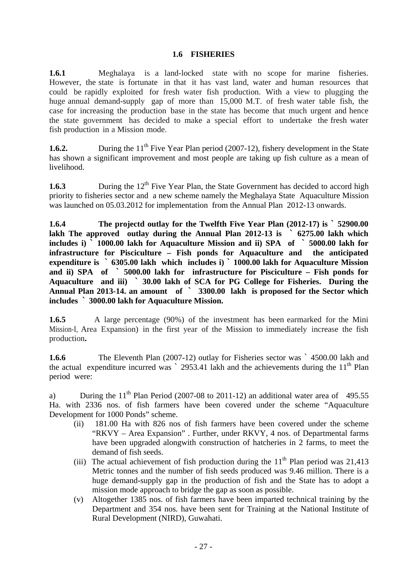### **1.6 FISHERIES**

**1.6.1** Meghalaya is a land-locked state with no scope for marine fisheries. However, the state is fortunate in that it has vast land, water and human resources that could be rapidly exploited for fresh water fish production. With a view to plugging the huge annual demand-supply gap of more than 15,000 M.T. of fresh water table fish, the case for increasing the production base in the state has become that much urgent and hence the state government has decided to make a special effort to undertake the fresh water fish production in a Mission mode.

**1.6.2.** During the 11<sup>th</sup> Five Year Plan period (2007-12), fishery development in the State has shown a significant improvement and most people are taking up fish culture as a mean of livelihood.

**1.6.3** During the 12<sup>th</sup> Five Year Plan, the State Government has decided to accord high priority to fisheries sector and a new scheme namely the Meghalaya State Aquaculture Mission was launched on 05.03.2012 for implementation from the Annual Plan 2012-13 onwards.

**1.6.4 The projectd outlay for the Twelfth Five Year Plan (2012-17) is ` 52900.00 lakh The approved outlay during the Annual Plan 2012-13 is ` 6275.00 lakh which includes i) ` 1000.00 lakh for Aquaculture Mission and ii) SPA of ` 5000.00 lakh for infrastructure for Pisciculture – Fish ponds for Aquaculture and the anticipated expenditure is ` 6305.00 lakh which includes i) ` 1000.00 lakh for Aquaculture Mission and ii) SPA of ` 5000.00 lakh for infrastructure for Pisciculture – Fish ponds for Aquaculture and iii) ` 30.00 lakh of SCA for PG College for Fisheries. During the Annual Plan 2013-14. an amount of ` 3300.00 lakh is proposed for the Sector which includes ` 3000.00 lakh for Aquaculture Mission.**

**1.6.5** A large percentage (90%) of the investment has been earmarked for the Mini Mission-I, Area Expansion) in the first year of the Mission to immediately increase the fish production**.** 

**1.6.6** The Eleventh Plan (2007-12) outlay for Fisheries sector was ` 4500.00 lakh and the actual expenditure incurred was  $\degree$  2953.41 lakh and the achievements during the 11<sup>th</sup> Plan period were:

a) During the  $11<sup>th</sup>$  Plan Period (2007-08 to 2011-12) an additional water area of 495.55 Ha. with 2336 nos. of fish farmers have been covered under the scheme "Aquaculture Development for 1000 Ponds" scheme.

- (ii) 181.00 Ha with 826 nos of fish farmers have been covered under the scheme "RKVY – Area Expansion" . Further, under RKVY, 4 nos. of Departmental farms have been upgraded alongwith construction of hatcheries in 2 farms, to meet the demand of fish seeds.
- (iii) The actual achievement of fish production during the  $11<sup>th</sup>$  Plan period was 21,413 Metric tonnes and the number of fish seeds produced was 9.46 million. There is a huge demand-supply gap in the production of fish and the State has to adopt a mission mode approach to bridge the gap as soon as possible.
- (v) Altogether 1385 nos. of fish farmers have been imparted technical training by the Department and 354 nos. have been sent for Training at the National Institute of Rural Development (NIRD), Guwahati.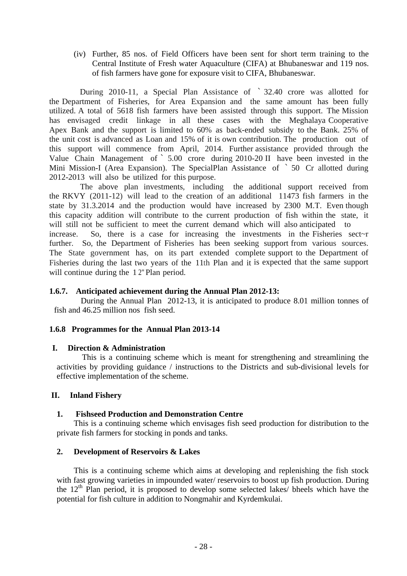(iv) Further, 85 nos. of Field Officers have been sent for short term training to the Central Institute of Fresh water Aquaculture (CIFA) at Bhubaneswar and 119 nos. of fish farmers have gone for exposure visit to CIFA, Bhubaneswar.

 During 2010-11, a Special Plan Assistance of ` 32.40 crore was allotted for the Department of Fisheries, for Area Expansion and the same amount has been fully utilized. A total of 5618 fish farmers have been assisted through this support. The Mission has envisaged credit linkage in all these cases with the Meghalaya Cooperative Apex Bank and the support is limited to 60% as back-ended subsidy to the Bank. 25% of the unit cost is advanced as Loan and 15% of it is own contribution. The production out of this support will commence from April, 2014. Further assistance provided through the Value Chain Management of ` 5.00 crore during 2010-20 II have been invested in the Mini Mission-I (Area Expansion). The SpecialPlan Assistance of ` 50 Cr allotted during 2012-2013 will also be utilized for this purpose.

 The above plan investments, including the additional support received from the RKVY (2011-12) will lead to the creation of an additional 11473 fish farmers in the state by 31.3.2014 and the production would have increased by 2300 M.T. Even though this capacity addition will contribute to the current production of fish within the state, it will still not be sufficient to meet the current demand which will also anticipated to increase. So, there is a case for increasing the investments in the Fisheries sect~r further. So, the Department of Fisheries has been seeking support from various sources. The State government has, on its part extended complete support to the Department of Fisheries during the last two years of the 11th Plan and it is expected that the same support will continue during the 12" Plan period.

#### **1.6.7. Anticipated achievement during the Annual Plan 2012-13:**

During the Annual Plan 2012-13, it is anticipated to produce 8.01 million tonnes of fish and 46.25 million nos fish seed.

#### **1.6.8 Programmes for the Annual Plan 2013-14**

#### **I. Direction & Administration**

This is a continuing scheme which is meant for strengthening and streamlining the activities by providing guidance / instructions to the Districts and sub-divisional levels for effective implementation of the scheme.

#### **II. Inland Fishery**

#### **1. Fishseed Production and Demonstration Centre**

 This is a continuing scheme which envisages fish seed production for distribution to the private fish farmers for stocking in ponds and tanks.

#### **2. Development of Reservoirs & Lakes**

This is a continuing scheme which aims at developing and replenishing the fish stock with fast growing varieties in impounded water/ reservoirs to boost up fish production. During the  $12<sup>th</sup>$  Plan period, it is proposed to develop some selected lakes/ bheels which have the potential for fish culture in addition to Nongmahir and Kyrdemkulai.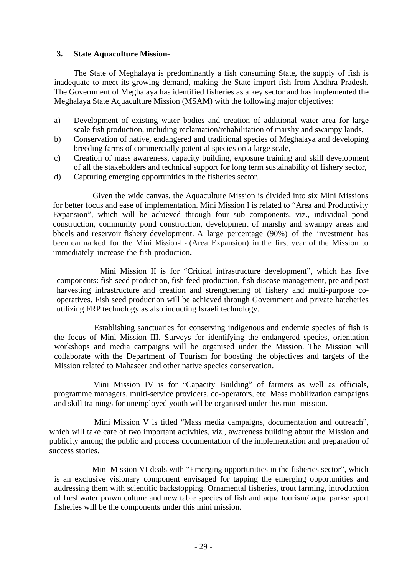#### **3. State Aquaculture Mission**-

 The State of Meghalaya is predominantly a fish consuming State, the supply of fish is inadequate to meet its growing demand, making the State import fish from Andhra Pradesh. The Government of Meghalaya has identified fisheries as a key sector and has implemented the Meghalaya State Aquaculture Mission (MSAM) with the following major objectives:

- a) Development of existing water bodies and creation of additional water area for large scale fish production, including reclamation/rehabilitation of marshy and swampy lands,
- b) Conservation of native, endangered and traditional species of Meghalaya and developing breeding farms of commercially potential species on a large scale,
- c) Creation of mass awareness, capacity building, exposure training and skill development of all the stakeholders and technical support for long term sustainability of fishery sector,
- d) Capturing emerging opportunities in the fisheries sector.

 Given the wide canvas, the Aquaculture Mission is divided into six Mini Missions for better focus and ease of implementation. Mini Mission I is related to "Area and Productivity Expansion", which will be achieved through four sub components, viz., individual pond construction, community pond construction, development of marshy and swampy areas and bheels and reservoir fishery development. A large percentage (90%) of the investment has been earmarked for the Mini Mission-I - (Area Expansion) in the first year of the Mission to immediately increase the fish production**.** 

 Mini Mission II is for "Critical infrastructure development", which has five components: fish seed production, fish feed production, fish disease management, pre and post harvesting infrastructure and creation and strengthening of fishery and multi-purpose cooperatives. Fish seed production will be achieved through Government and private hatcheries utilizing FRP technology as also inducting Israeli technology.

 Establishing sanctuaries for conserving indigenous and endemic species of fish is the focus of Mini Mission III. Surveys for identifying the endangered species, orientation workshops and media campaigns will be organised under the Mission. The Mission will collaborate with the Department of Tourism for boosting the objectives and targets of the Mission related to Mahaseer and other native species conservation.

 Mini Mission IV is for "Capacity Building" of farmers as well as officials, programme managers, multi-service providers, co-operators, etc. Mass mobilization campaigns and skill trainings for unemployed youth will be organised under this mini mission.

Mini Mission V is titled "Mass media campaigns, documentation and outreach", which will take care of two important activities, viz., awareness building about the Mission and publicity among the public and process documentation of the implementation and preparation of success stories.

 Mini Mission VI deals with "Emerging opportunities in the fisheries sector", which is an exclusive visionary component envisaged for tapping the emerging opportunities and addressing them with scientific backstopping. Ornamental fisheries, trout farming, introduction of freshwater prawn culture and new table species of fish and aqua tourism/ aqua parks/ sport fisheries will be the components under this mini mission.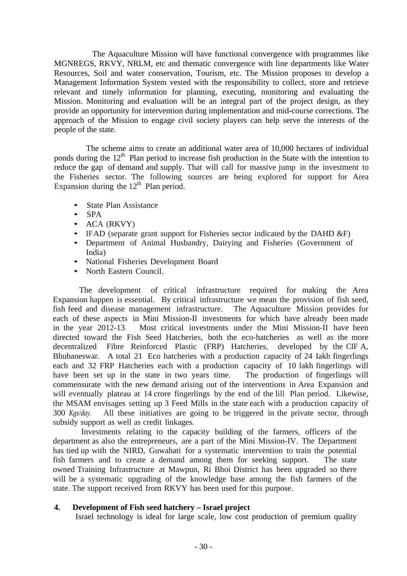The Aquaculture Mission will have functional convergence with programmes like MGNREGS, RKVY, NRLM, etc and thematic convergence with line departments like Water Resources, Soil and water conservation, Tourism, etc. The Mission proposes to develop a Management Information System vested with the responsibility to collect, store and retrieve relevant and timely information for planning, executing, monitoring and evaluating the Mission. Monitoring and evaluation will be an integral part of the project design, as they provide an opportunity for intervention during implementation and mid-course corrections. The approach of the Mission to engage civil society players can help serve the interests of the people of the state.

 The scheme aims to create an additional water area of 10,000 hectares of individual ponds during the  $12<sup>th</sup>$  Plan period to increase fish production in the State with the intention to reduce the gap of demand and supply. That will call for massive jump in the investment to the Fisheries sector. The following sources are being explored for support for Area Expansion during the  $12<sup>th</sup>$  Plan period.

- State Plan Assistance
- SPA
- ACA (RKVY)
- IFAD (separate grant support for Fisheries sector indicated by the DAHD &F)
- Department of Animal Husbandry, Dairying and Fisheries (Government of India)
- National Fisheries Development Board
- North Eastern Council.

The development of critical infrastructure required for making the Area Expansion happen is essential. By critical infrastructure we mean the provision of fish seed, fish feed and disease management infrastructure. The Aquaculture Mission provides for each of these aspects in Mini Mission-Il investments for which have already been made in the year 2012-13. Most critical investments under the Mini Mission-II have been directed toward the Fish Seed Hatcheries, both the eco-hatcheries as well as the more decentralized Fibre Reinforced Plastic (FRP) Hatcheries, developed by the CIF A, Bhubaneswar. A total 21 Eco hatcheries with a production capacity of 24 Iakh fingerlings each and 32 FRP Hatcheries each with a production capacity of 10 lakh fingerlings will have been set up in the state in two years time. The production of fingerlings will commensurate with the new demand arising out of the interventions in Area Expansion and will eventually plateau at 14 crore fingerlings by the end of the lill Plan period. Likewise, the MSAM envisages setting up 3 Feed Mills in the state each with a production capacity of 300 *Kgs/day.* All these initiatives are going to be triggered in the private sector, through subsidy support as well as credit linkages.

 Investments relating to the capacity building of the farmers, officers of the department as also the entrepreneurs, are a part of the Mini Mission-IV. The Department has tied up with the NIRD, Guwahati for a systematic intervention to train the potential fish farmers and to create a demand among them for seeking support. The state owned Training Infrastructure at Mawpun, Ri Bhoi District has been upgraded so there will be a systematic upgrading of the knowledge base among the fish farmers of the state. The support received from RKVY has been used for this purpose.

#### **4. Development of Fish seed hatchery – Israel project**

Israel technology is ideal for large scale, low cost production of premium quality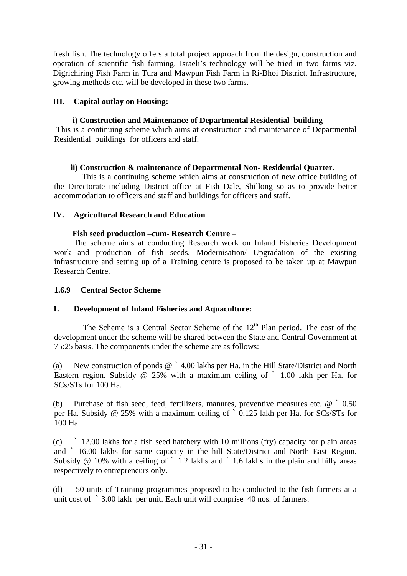fresh fish. The technology offers a total project approach from the design, construction and operation of scientific fish farming. Israeli's technology will be tried in two farms viz. Digrichiring Fish Farm in Tura and Mawpun Fish Farm in Ri-Bhoi District. Infrastructure, growing methods etc. will be developed in these two farms.

## **III. Capital outlay on Housing:**

### **i) Construction and Maintenance of Departmental Residential building**

This is a continuing scheme which aims at construction and maintenance of Departmental Residential buildings for officers and staff.

### **ii) Construction & maintenance of Departmental Non- Residential Quarter.**

This is a continuing scheme which aims at construction of new office building of the Directorate including District office at Fish Dale, Shillong so as to provide better accommodation to officers and staff and buildings for officers and staff.

### **IV. Agricultural Research and Education**

### **Fish seed production –cum- Research Centre** –

 The scheme aims at conducting Research work on Inland Fisheries Development work and production of fish seeds. Modernisation/ Upgradation of the existing infrastructure and setting up of a Training centre is proposed to be taken up at Mawpun Research Centre.

## **1.6.9 Central Sector Scheme**

## **1. Development of Inland Fisheries and Aquaculture:**

The Scheme is a Central Sector Scheme of the  $12<sup>th</sup>$  Plan period. The cost of the development under the scheme will be shared between the State and Central Government at 75:25 basis. The components under the scheme are as follows:

(a) New construction of ponds @ ` 4.00 lakhs per Ha. in the Hill State/District and North Eastern region. Subsidy @ 25% with a maximum ceiling of ` 1.00 lakh per Ha. for SCs/STs for 100 Ha.

(b) Purchase of fish seed, feed, fertilizers, manures, preventive measures etc. @ ` 0.50 per Ha. Subsidy @ 25% with a maximum ceiling of ` 0.125 lakh per Ha. for SCs/STs for 100 Ha.

(c) ` 12.00 lakhs for a fish seed hatchery with 10 millions (fry) capacity for plain areas and ` 16.00 lakhs for same capacity in the hill State/District and North East Region. Subsidy  $\omega$  10% with a ceiling of  $\cdot$  1.2 lakhs and  $\cdot$  1.6 lakhs in the plain and hilly areas respectively to entrepreneurs only.

(d) 50 units of Training programmes proposed to be conducted to the fish farmers at a unit cost of ` 3.00 lakh per unit. Each unit will comprise 40 nos. of farmers.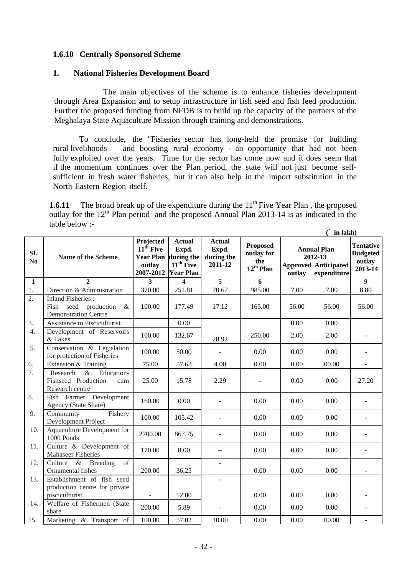### **1.6.10 Centrally Sponsored Scheme**

#### **1. National Fisheries Development Board**

The main objectives of the scheme is to enhance fisheries development through Area Expansion and to setup infrastructure in fish seed and fish feed production. Further the proposed funding from NFDB is to build up the capacity of the partners of the Meghalaya State Aquaculture Mission through training and demonstrations.

To conclude, the "Fisheries sector has long-held the promise for building rural livelihoods and boosting rural economy - an opportunity that had not been fully exploited over the years. Time for the sector has come now and it does seem that if the momentum continues over the Plan period, the state will not just become selfsufficient in fresh water fisheries, but it can also help in the import substitution in the North Eastern Region itself.

**1.6.11** The broad break up of the expenditure during the  $11<sup>th</sup>$  Five Year Plan, the proposed outlay for the 12<sup>th</sup> Plan period and the proposed Annual Plan 2013-14 is as indicated in the table below :- **(` in lakh)** 

|                       |                                                                                    |                                   |                                                               |                                                 |                                      |                                                              | III IANII)  |                                               |
|-----------------------|------------------------------------------------------------------------------------|-----------------------------------|---------------------------------------------------------------|-------------------------------------------------|--------------------------------------|--------------------------------------------------------------|-------------|-----------------------------------------------|
| SI.<br>N <sub>0</sub> | <b>Name of the Scheme</b>                                                          | Projected<br>$11^{t\bar{h}}$ Five | <b>Actual</b><br>Expd.<br>Year Plan during the<br>$11th$ Five | <b>Actual</b><br>Expd.<br>during the<br>2011-12 | <b>Proposed</b><br>outlay for<br>the | <b>Annual Plan</b><br>2012-13<br><b>Approved Anticipated</b> |             | <b>Tentative</b><br><b>Budgeted</b><br>outlay |
|                       |                                                                                    | outlay<br>2007-2012 Year Plan     |                                                               |                                                 | $12^{\text{th}}$ Plan                | outlay                                                       | expenditure | 2013-14                                       |
| $\mathbf{1}$          | $\overline{2}$                                                                     | $\overline{3}$                    | $\overline{\mathbf{4}}$                                       | $\overline{5}$                                  | 6                                    |                                                              |             | $\boldsymbol{9}$                              |
| 1.                    | Direction & Administration                                                         | 370.00                            | 251.81                                                        | 70.67                                           | 985.00                               | 7.00                                                         | 7.00        | 8.80                                          |
| 2.                    | Inland Fisheries :-<br>Fish seed production<br>$\&$<br><b>Demonstration Centre</b> | 100.00                            | 177.49                                                        | 17.12                                           | 165.00                               | 56.00                                                        | 56.00       | 56.00                                         |
| 3.                    | Assistance to Pisciculturist.                                                      |                                   | 0.00                                                          |                                                 |                                      | 0.00                                                         | 0.00        |                                               |
| 4.                    | Development of Reservoirs<br>& Lakes                                               | 100.00                            | 132.67                                                        | 28.92                                           | 250.00                               | 2.00                                                         | 2.00        | ÷,                                            |
| 5.                    | $\overline{\text{Conservation}}$ & Legislation<br>for protection of Fisheries      | 100.00                            | 50.00                                                         | $\blacksquare$                                  | 0.00                                 | 0.00                                                         | 0.00        | ÷,                                            |
| 6.                    | Extension & Training                                                               | 75.00                             | 57.63                                                         | 4.00                                            | 0.00                                 | 0.00                                                         | 00.00       | $\overline{a}$                                |
| 7.                    | $\&$<br>Education-<br>Research<br>Fishseed Production<br>cum<br>Research centre    | 25.00                             | 15.78                                                         | 2.29                                            |                                      | 0.00                                                         | 0.00        | 27.20                                         |
| 8.                    | Fish Farmer Development<br>Agency (State Share)                                    | 160.00                            | 0.00                                                          | $\blacksquare$                                  | 0.00                                 | 0.00                                                         | 0.00        | $\overline{\phantom{a}}$                      |
| 9.                    | Community<br>Fishery<br>Development Project                                        | 100.00                            | 105.42                                                        | $\blacksquare$                                  | 0.00                                 | 0.00                                                         | 0.00        | $\overline{\phantom{0}}$                      |
| 10.                   | Aquaculture Development for<br>1000 Ponds                                          | 2700.00                           | 867.75                                                        | $\overline{\phantom{a}}$                        | 0.00                                 | 0.00                                                         | 0.00        |                                               |
| 11.                   | Culture $\&$ Development of<br>Mahaseer Fisheries                                  | 170.00                            | 8.00                                                          | --                                              | 0.00                                 | 0.00                                                         | 0.00        |                                               |
| 12.                   | $&$ Breeding<br>of<br>Culture                                                      |                                   |                                                               |                                                 |                                      |                                                              |             |                                               |
|                       | Ornamental fishes                                                                  | 200.00                            | 36.25                                                         |                                                 | 0.00                                 | 0.00                                                         | 0.00        |                                               |
| 13.                   | Establishment of fish seed                                                         |                                   |                                                               |                                                 |                                      |                                                              |             |                                               |
|                       | production centre for private<br>pisciculturist.                                   | $\sim$                            | 12.00                                                         |                                                 | 0.00                                 | 0.00                                                         | 0.00        | ÷                                             |
| 14.                   | Welfare of Fishermen (State<br>share                                               | 200.00                            | 5.89                                                          | $\blacksquare$                                  | 0.00                                 | 0.00                                                         | 0.00        | $\blacksquare$                                |
| 15.                   | Marketing & Transport of                                                           | 100.00                            | 57.02                                                         | 10.00                                           | 0.00                                 | 0.00                                                         | 00.00       | $\overline{\phantom{0}}$                      |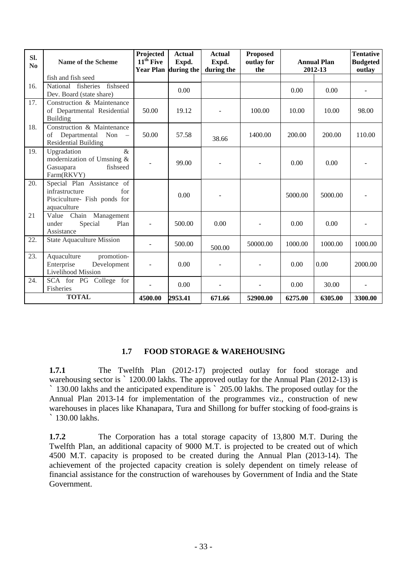| Sl.<br>N <sub>0</sub> | <b>Name of the Scheme</b>                                                                                       | Projected<br>$11^{t\bar{h}}$ Five<br><b>Year Plan</b> | <b>Actual</b><br>Expd.<br>during the | <b>Actual</b><br>Expd.<br>during the | <b>Proposed</b><br>outlay for<br>the | <b>Annual Plan</b><br>2012-13 |         | <b>Tentative</b><br><b>Budgeted</b><br>outlay |
|-----------------------|-----------------------------------------------------------------------------------------------------------------|-------------------------------------------------------|--------------------------------------|--------------------------------------|--------------------------------------|-------------------------------|---------|-----------------------------------------------|
|                       | fish and fish seed                                                                                              |                                                       |                                      |                                      |                                      |                               |         |                                               |
| 16.                   | fishseed<br>National fisheries<br>Dev. Board (state share)                                                      |                                                       | 0.00                                 |                                      |                                      | 0.00                          | 0.00    | $\sim$                                        |
| 17.                   | Construction & Maintenance<br>of Departmental Residential<br><b>Building</b>                                    | 50.00                                                 | 19.12                                |                                      | 100.00                               | 10.00                         | 10.00   | 98.00                                         |
| 18.                   | Construction & Maintenance<br>Departmental Non<br>of<br>$\overline{\phantom{a}}$<br><b>Residential Building</b> | 50.00                                                 | 57.58                                | 38.66                                | 1400.00                              | 200.00                        | 200.00  | 110.00                                        |
| 19.                   | Upgradation<br>$\&$<br>modernization of Umsning &<br>fishseed<br>Gasuapara<br>Farm(RKVY)                        |                                                       | 99.00                                |                                      |                                      | 0.00                          | 0.00    |                                               |
| 20.                   | Special Plan Assistance of<br>for<br>infrastructure<br>Pisciculture- Fish ponds for<br>aquaculture              |                                                       | 0.00                                 |                                      |                                      | 5000.00                       | 5000.00 |                                               |
| 21                    | Value Chain Management<br>Special<br>under<br>Plan<br>Assistance                                                | $\overline{\phantom{a}}$                              | 500.00                               | 0.00                                 |                                      | 0.00                          | 0.00    |                                               |
| 22.                   | <b>State Aquaculture Mission</b>                                                                                |                                                       | 500.00                               | 500.00                               | 50000.00                             | 1000.00                       | 1000.00 | 1000.00                                       |
| 23.                   | Aquaculture<br>promotion-<br>Enterprise<br>Development<br>Livelihood Mission                                    |                                                       | 0.00                                 |                                      |                                      | 0.00                          | 0.00    | 2000.00                                       |
| 24.                   | SCA for PG College for<br>Fisheries                                                                             |                                                       | 0.00                                 |                                      |                                      | 0.00                          | 30.00   |                                               |
| <b>TOTAL</b>          |                                                                                                                 | 4500.00                                               | 2953.41                              | 671.66                               | 52900.00                             | 6275.00                       | 6305.00 | 3300.00                                       |

## **1.7 FOOD STORAGE & WAREHOUSING**

**1.7.1** The Twelfth Plan (2012-17) projected outlay for food storage and warehousing sector is ` 1200.00 lakhs. The approved outlay for the Annual Plan (2012-13) is ` 130.00 lakhs and the anticipated expenditure is ` 205.00 lakhs. The proposed outlay for the Annual Plan 2013-14 for implementation of the programmes viz., construction of new warehouses in places like Khanapara, Tura and Shillong for buffer stocking of food-grains is ` 130.00 lakhs.

**1.7.2** The Corporation has a total storage capacity of 13,800 M.T. During the Twelfth Plan, an additional capacity of 9000 M.T. is projected to be created out of which 4500 M.T. capacity is proposed to be created during the Annual Plan (2013-14). The achievement of the projected capacity creation is solely dependent on timely release of financial assistance for the construction of warehouses by Government of India and the State Government.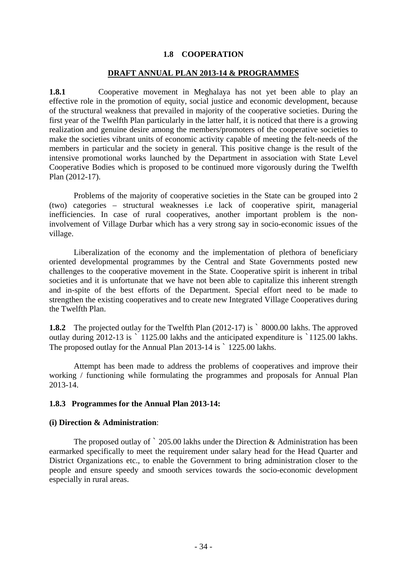#### **1.8 COOPERATION**

#### **DRAFT ANNUAL PLAN 2013-14 & PROGRAMMES**

**1.8.1** Cooperative movement in Meghalaya has not yet been able to play an effective role in the promotion of equity, social justice and economic development, because of the structural weakness that prevailed in majority of the cooperative societies. During the first year of the Twelfth Plan particularly in the latter half, it is noticed that there is a growing realization and genuine desire among the members/promoters of the cooperative societies to make the societies vibrant units of economic activity capable of meeting the felt-needs of the members in particular and the society in general. This positive change is the result of the intensive promotional works launched by the Department in association with State Level Cooperative Bodies which is proposed to be continued more vigorously during the Twelfth Plan (2012-17).

Problems of the majority of cooperative societies in the State can be grouped into 2 (two) categories – structural weaknesses i.e lack of cooperative spirit, managerial inefficiencies. In case of rural cooperatives, another important problem is the noninvolvement of Village Durbar which has a very strong say in socio-economic issues of the village.

Liberalization of the economy and the implementation of plethora of beneficiary oriented developmental programmes by the Central and State Governments posted new challenges to the cooperative movement in the State. Cooperative spirit is inherent in tribal societies and it is unfortunate that we have not been able to capitalize this inherent strength and in-spite of the best efforts of the Department. Special effort need to be made to strengthen the existing cooperatives and to create new Integrated Village Cooperatives during the Twelfth Plan.

**1.8.2** The projected outlay for the Twelfth Plan (2012-17) is  $\degree$  8000.00 lakhs. The approved outlay during 2012-13 is ` 1125.00 lakhs and the anticipated expenditure is `1125.00 lakhs. The proposed outlay for the Annual Plan 2013-14 is  $\degree$  1225.00 lakhs.

Attempt has been made to address the problems of cooperatives and improve their working / functioning while formulating the programmes and proposals for Annual Plan 2013-14.

### **1.8.3 Programmes for the Annual Plan 2013-14:**

#### **(i) Direction & Administration**:

The proposed outlay of  $\degree$  205.00 lakhs under the Direction & Administration has been earmarked specifically to meet the requirement under salary head for the Head Quarter and District Organizations etc., to enable the Government to bring administration closer to the people and ensure speedy and smooth services towards the socio-economic development especially in rural areas.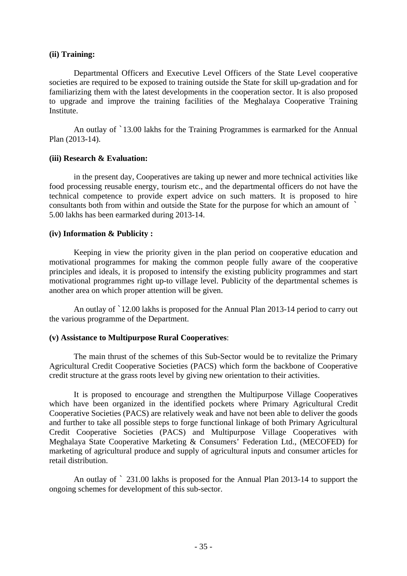#### **(ii) Training:**

Departmental Officers and Executive Level Officers of the State Level cooperative societies are required to be exposed to training outside the State for skill up-gradation and for familiarizing them with the latest developments in the cooperation sector. It is also proposed to upgrade and improve the training facilities of the Meghalaya Cooperative Training Institute.

An outlay of `13.00 lakhs for the Training Programmes is earmarked for the Annual Plan (2013-14).

### **(iii) Research & Evaluation:**

in the present day, Cooperatives are taking up newer and more technical activities like food processing reusable energy, tourism etc., and the departmental officers do not have the technical competence to provide expert advice on such matters. It is proposed to hire consultants both from within and outside the State for the purpose for which an amount of ` 5.00 lakhs has been earmarked during 2013-14.

### **(iv) Information & Publicity :**

 Keeping in view the priority given in the plan period on cooperative education and motivational programmes for making the common people fully aware of the cooperative principles and ideals, it is proposed to intensify the existing publicity programmes and start motivational programmes right up-to village level. Publicity of the departmental schemes is another area on which proper attention will be given.

 An outlay of `12.00 lakhs is proposed for the Annual Plan 2013-14 period to carry out the various programme of the Department.

#### **(v) Assistance to Multipurpose Rural Cooperatives**:

 The main thrust of the schemes of this Sub-Sector would be to revitalize the Primary Agricultural Credit Cooperative Societies (PACS) which form the backbone of Cooperative credit structure at the grass roots level by giving new orientation to their activities.

 It is proposed to encourage and strengthen the Multipurpose Village Cooperatives which have been organized in the identified pockets where Primary Agricultural Credit Cooperative Societies (PACS) are relatively weak and have not been able to deliver the goods and further to take all possible steps to forge functional linkage of both Primary Agricultural Credit Cooperative Societies (PACS) and Multipurpose Village Cooperatives with Meghalaya State Cooperative Marketing & Consumers' Federation Ltd., (MECOFED) for marketing of agricultural produce and supply of agricultural inputs and consumer articles for retail distribution.

 An outlay of ` 231.00 lakhs is proposed for the Annual Plan 2013-14 to support the ongoing schemes for development of this sub-sector.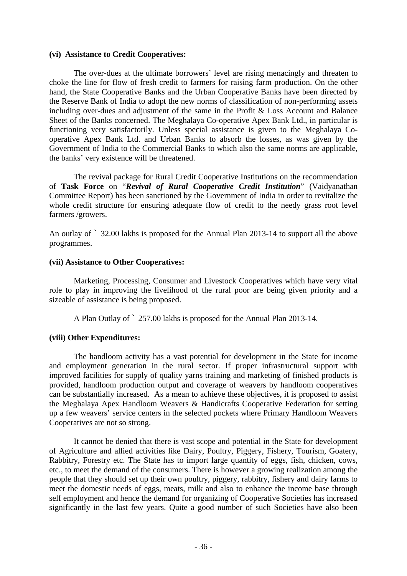#### **(vi) Assistance to Credit Cooperatives:**

 The over-dues at the ultimate borrowers' level are rising menacingly and threaten to choke the line for flow of fresh credit to farmers for raising farm production. On the other hand, the State Cooperative Banks and the Urban Cooperative Banks have been directed by the Reserve Bank of India to adopt the new norms of classification of non-performing assets including over-dues and adjustment of the same in the Profit & Loss Account and Balance Sheet of the Banks concerned. The Meghalaya Co-operative Apex Bank Ltd., in particular is functioning very satisfactorily. Unless special assistance is given to the Meghalaya Cooperative Apex Bank Ltd. and Urban Banks to absorb the losses, as was given by the Government of India to the Commercial Banks to which also the same norms are applicable, the banks' very existence will be threatened.

 The revival package for Rural Credit Cooperative Institutions on the recommendation of **Task Force** on "*Revival of Rural Cooperative Credit Institution*" (Vaidyanathan Committee Report) has been sanctioned by the Government of India in order to revitalize the whole credit structure for ensuring adequate flow of credit to the needy grass root level farmers /growers.

An outlay of ` 32.00 lakhs is proposed for the Annual Plan 2013-14 to support all the above programmes.

#### **(vii) Assistance to Other Cooperatives:**

 Marketing, Processing, Consumer and Livestock Cooperatives which have very vital role to play in improving the livelihood of the rural poor are being given priority and a sizeable of assistance is being proposed.

A Plan Outlay of ` 257.00 lakhs is proposed for the Annual Plan 2013-14.

#### **(viii) Other Expenditures:**

 The handloom activity has a vast potential for development in the State for income and employment generation in the rural sector. If proper infrastructural support with improved facilities for supply of quality yarns training and marketing of finished products is provided, handloom production output and coverage of weavers by handloom cooperatives can be substantially increased. As a mean to achieve these objectives, it is proposed to assist the Meghalaya Apex Handloom Weavers & Handicrafts Cooperative Federation for setting up a few weavers' service centers in the selected pockets where Primary Handloom Weavers Cooperatives are not so strong.

 It cannot be denied that there is vast scope and potential in the State for development of Agriculture and allied activities like Dairy, Poultry, Piggery, Fishery, Tourism, Goatery, Rabbitry, Forestry etc. The State has to import large quantity of eggs, fish, chicken, cows, etc., to meet the demand of the consumers. There is however a growing realization among the people that they should set up their own poultry, piggery, rabbitry, fishery and dairy farms to meet the domestic needs of eggs, meats, milk and also to enhance the income base through self employment and hence the demand for organizing of Cooperative Societies has increased significantly in the last few years. Quite a good number of such Societies have also been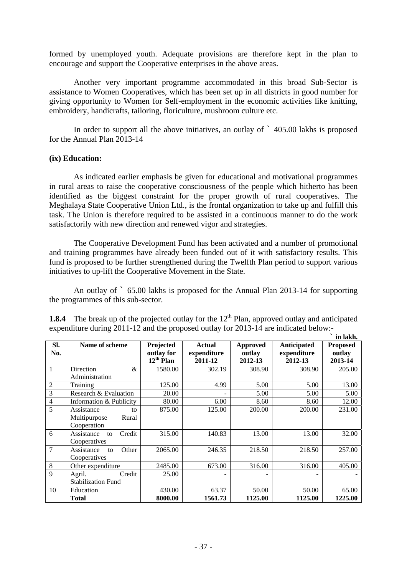formed by unemployed youth. Adequate provisions are therefore kept in the plan to encourage and support the Cooperative enterprises in the above areas.

Another very important programme accommodated in this broad Sub-Sector is assistance to Women Cooperatives, which has been set up in all districts in good number for giving opportunity to Women for Self-employment in the economic activities like knitting, embroidery, handicrafts, tailoring, floriculture, mushroom culture etc.

In order to support all the above initiatives, an outlay of  $\degree$  405.00 lakhs is proposed for the Annual Plan 2013-14

#### **(ix) Education:**

 As indicated earlier emphasis be given for educational and motivational programmes in rural areas to raise the cooperative consciousness of the people which hitherto has been identified as the biggest constraint for the proper growth of rural cooperatives. The Meghalaya State Cooperative Union Ltd., is the frontal organization to take up and fulfill this task. The Union is therefore required to be assisted in a continuous manner to do the work satisfactorily with new direction and renewed vigor and strategies.

 The Cooperative Development Fund has been activated and a number of promotional and training programmes have already been funded out of it with satisfactory results. This fund is proposed to be further strengthened during the Twelfth Plan period to support various initiatives to up-lift the Cooperative Movement in the State.

 An outlay of ` 65.00 lakhs is proposed for the Annual Plan 2013-14 for supporting the programmes of this sub-sector.

|                |                            |                |             |          |                    | in lakh.        |
|----------------|----------------------------|----------------|-------------|----------|--------------------|-----------------|
| SI.            | Name of scheme             | Projected      | Actual      | Approved | <b>Anticipated</b> | <b>Proposed</b> |
| No.            |                            | outlay for     | expenditure | outlay   | expenditure        | outlay          |
|                |                            | $12^{th}$ Plan | 2011-12     | 2012-13  | 2012-13            | 2013-14         |
| 1              | Direction<br>&             | 1580.00        | 302.19      | 308.90   | 308.90             | 205.00          |
|                | Administration             |                |             |          |                    |                 |
| $\overline{2}$ | Training                   | 125.00         | 4.99        | 5.00     | 5.00               | 13.00           |
| 3              | Research & Evaluation      | 20.00          |             | 5.00     | 5.00               | 5.00            |
| $\overline{4}$ | Information & Publicity    | 80.00          | 6.00        | 8.60     | 8.60               | 12.00           |
| 5              | Assistance<br>to           | 875.00         | 125.00      | 200.00   | 200.00             | 231.00          |
|                | Multipurpose<br>Rural      |                |             |          |                    |                 |
|                | Cooperation                |                |             |          |                    |                 |
| 6              | Credit<br>Assistance<br>to | 315.00         | 140.83      | 13.00    | 13.00              | 32.00           |
|                | Cooperatives               |                |             |          |                    |                 |
| 7              | Assistance<br>Other<br>to  | 2065.00        | 246.35      | 218.50   | 218.50             | 257.00          |
|                | Cooperatives               |                |             |          |                    |                 |
| $\,8\,$        | Other expenditure          | 2485.00        | 673.00      | 316.00   | 316.00             | 405.00          |
| 9              | Credit<br>Agril.           | 25.00          |             |          |                    |                 |
|                | <b>Stabilization Fund</b>  |                |             |          |                    |                 |
| 10             | Education                  | 430.00         | 63.37       | 50.00    | 50.00              | 65.00           |
|                | Total                      | 8000.00        | 1561.73     | 1125.00  | 1125.00            | 1225.00         |

**1.8.4** The break up of the projected outlay for the 12<sup>th</sup> Plan, approved outlay and anticipated expenditure during 2011-12 and the proposed outlay for 2013-14 are indicated below:-